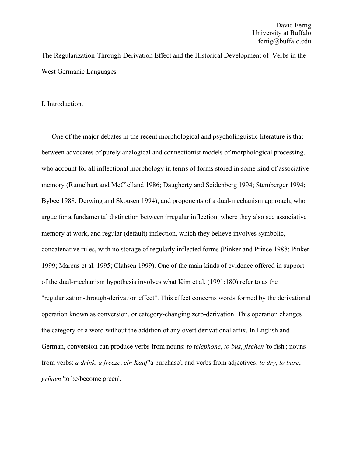The Regularization-Through-Derivation Effect and the Historical Development of Verbs in the West Germanic Languages

I. Introduction.

One of the major debates in the recent morphological and psycholinguistic literature is that between advocates of purely analogical and connectionist models of morphological processing, who account for all inflectional morphology in terms of forms stored in some kind of associative memory (Rumelhart and McClelland 1986; Daugherty and Seidenberg 1994; Stemberger 1994; Bybee 1988; Derwing and Skousen 1994), and proponents of a dual-mechanism approach, who argue for a fundamental distinction between irregular inflection, where they also see associative memory at work, and regular (default) inflection, which they believe involves symbolic, concatenative rules, with no storage of regularly inflected forms (Pinker and Prince 1988; Pinker 1999; Marcus et al. 1995; Clahsen 1999). One of the main kinds of evidence offered in support of the dual-mechanism hypothesis involves what Kim et al. (1991:180) refer to as the "regularization-through-derivation effect". This effect concerns words formed by the derivational operation known as conversion, or category-changing zero-derivation. This operation changes the category of a word without the addition of any overt derivational affix. In English and German, conversion can produce verbs from nouns: *to telephone*, *to bus*, *fischen* 'to fish'; nouns from verbs: *a drink*, *a freeze*, *ein Kauf* 'a purchase'; and verbs from adjectives: *to dry*, *to bare*, *grünen* 'to be/become green'.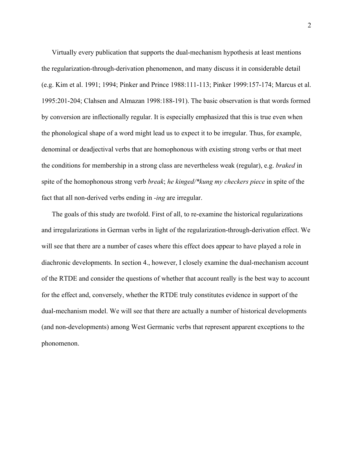Virtually every publication that supports the dual-mechanism hypothesis at least mentions the regularization-through-derivation phenomenon, and many discuss it in considerable detail (e.g. Kim et al. 1991; 1994; Pinker and Prince 1988:111-113; Pinker 1999:157-174; Marcus et al. 1995:201-204; Clahsen and Almazan 1998:188-191). The basic observation is that words formed by conversion are inflectionally regular. It is especially emphasized that this is true even when the phonological shape of a word might lead us to expect it to be irregular. Thus, for example, denominal or deadjectival verbs that are homophonous with existing strong verbs or that meet the conditions for membership in a strong class are nevertheless weak (regular), e.g. *braked* in spite of the homophonous strong verb *break*; *he kinged/\*kung my checkers piece* in spite of the fact that all non-derived verbs ending in *-ing* are irregular.

The goals of this study are twofold. First of all, to re-examine the historical regularizations and irregularizations in German verbs in light of the regularization-through-derivation effect. We will see that there are a number of cases where this effect does appear to have played a role in diachronic developments. In section 4., however, I closely examine the dual-mechanism account of the RTDE and consider the questions of whether that account really is the best way to account for the effect and, conversely, whether the RTDE truly constitutes evidence in support of the dual-mechanism model. We will see that there are actually a number of historical developments (and non-developments) among West Germanic verbs that represent apparent exceptions to the phonomenon.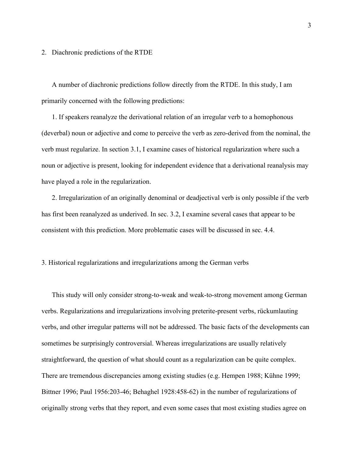2. Diachronic predictions of the RTDE

A number of diachronic predictions follow directly from the RTDE. In this study, I am primarily concerned with the following predictions:

1. If speakers reanalyze the derivational relation of an irregular verb to a homophonous (deverbal) noun or adjective and come to perceive the verb as zero-derived from the nominal, the verb must regularize. In section 3.1, I examine cases of historical regularization where such a noun or adjective is present, looking for independent evidence that a derivational reanalysis may have played a role in the regularization.

2. Irregularization of an originally denominal or deadjectival verb is only possible if the verb has first been reanalyzed as underived. In sec. 3.2, I examine several cases that appear to be consistent with this prediction. More problematic cases will be discussed in sec. 4.4.

# 3. Historical regularizations and irregularizations among the German verbs

This study will only consider strong-to-weak and weak-to-strong movement among German verbs. Regularizations and irregularizations involving preterite-present verbs, rückumlauting verbs, and other irregular patterns will not be addressed. The basic facts of the developments can sometimes be surprisingly controversial. Whereas irregularizations are usually relatively straightforward, the question of what should count as a regularization can be quite complex. There are tremendous discrepancies among existing studies (e.g. Hempen 1988; Kühne 1999; Bittner 1996; Paul 1956:203-46; Behaghel 1928:458-62) in the number of regularizations of originally strong verbs that they report, and even some cases that most existing studies agree on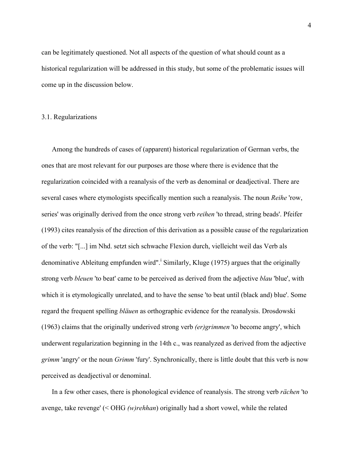can be legitimately questioned. Not all aspects of the question of what should count as a historical regularization will be addressed in this study, but some of the problematic issues will come up in the discussion below.

## 3.1. Regularizations

Among the hundreds of cases of (apparent) historical regularization of German verbs, the ones that are most relevant for our purposes are those where there is evidence that the regularization coincided with a reanalysis of the verb as denominal or deadjectival. There are several cases where etymologists specifically mention such a reanalysis. The noun *Reihe* 'row, series' was originally derived from the once strong verb *reihen* 'to thread, string beads'. Pfeifer (1993) cites reanalysis of the direction of this derivation as a possible cause of the regularization of the verb: "[...] im Nhd. setzt sich schwache Flexion durch, vielleicht weil das Verb als denominative Ableitung empfunden wird".<sup>i</sup> Similarly, Kluge (1975) argues that the originally strong verb *bleuen* 'to beat' came to be perceived as derived from the adjective *blau* 'blue', with which it is etymologically unrelated, and to have the sense 'to beat until (black and) blue'. Some regard the frequent spelling *bläuen* as orthographic evidence for the reanalysis. Drosdowski (1963) claims that the originally underived strong verb *(er)grimmen* 'to become angry', which underwent regularization beginning in the 14th c., was reanalyzed as derived from the adjective *grimm* 'angry' or the noun *Grimm* 'fury'. Synchronically, there is little doubt that this verb is now perceived as deadjectival or denominal.

In a few other cases, there is phonological evidence of reanalysis. The strong verb *rächen* 'to avenge, take revenge' (< OHG *(w)rehhan*) originally had a short vowel, while the related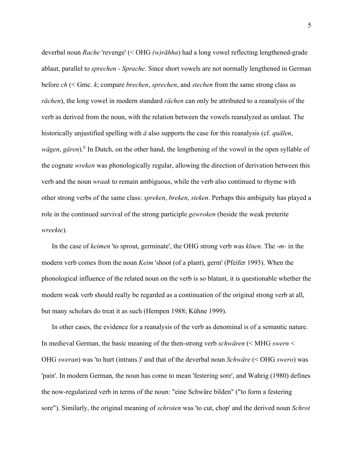deverbal noun *Rache* 'revenge' (< OHG *(w)rāhha*) had a long vowel reflecting lengthened-grade ablaut, parallel to *sprechen* - *Sprache*. Since short vowels are not normally lengthened in German before *ch* (< Gmc. *k*; compare *brechen*, *sprechen*, and *stechen* from the same strong class as *rächen*), the long vowel in modern standard *rächen* can only be attributed to a reanalysis of the verb as derived from the noun, with the relation between the vowels reanalyzed as umlaut. The historically unjustified spelling with *ä* also supports the case for this reanalysis (cf. *quälen*, *wägen*, *gären*).<sup>ii</sup> In Dutch, on the other hand, the lengthening of the vowel in the open syllable of the cognate *wreken* was phonologically regular, allowing the direction of derivation between this verb and the noun *wraak* to remain ambiguous, while the verb also continued to rhyme with other strong verbs of the same class: *spreken*, *breken*, *steken*. Perhaps this ambiguity has played a role in the continued survival of the strong participle *gewroken* (beside the weak preterite *wreekte*).

In the case of *keimen* 'to sprout, germinate', the OHG strong verb was *kīnen*. The -*m-* in the modern verb comes from the noun *Keim* 'shoot (of a plant), germ' (Pfeifer 1993). When the phonological influence of the related noun on the verb is so blatant, it is questionable whether the modern weak verb should really be regarded as a continuation of the original strong verb at all, but many scholars do treat it as such (Hempen 1988; Kühne 1999).

In other cases, the evidence for a reanalysis of the verb as denominal is of a semantic nature. In medieval German, the basic meaning of the then-strong verb *schwären* (< MHG *swern* < OHG *sweran*) was 'to hurt (intrans.)' and that of the deverbal noun *Schwäre* (< OHG *swero*) was 'pain'. In modern German, the noun has come to mean 'festering sore', and Wahrig (1980) defines the now-regularized verb in terms of the noun: "eine Schwäre bilden" ("to form a festering sore"). Similarly, the original meaning of *schroten* was 'to cut, chop' and the derived noun *Schrot*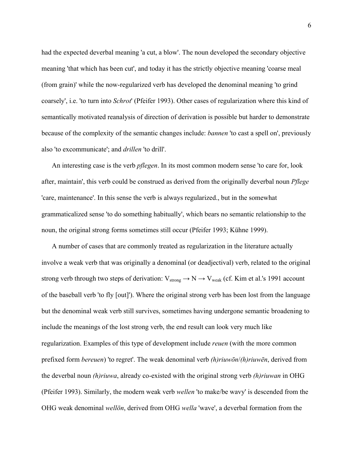had the expected deverbal meaning 'a cut, a blow'. The noun developed the secondary objective meaning 'that which has been cut', and today it has the strictly objective meaning 'coarse meal (from grain)' while the now-regularized verb has developed the denominal meaning 'to grind coarsely', i.e. 'to turn into *Schrot*' (Pfeifer 1993). Other cases of regularization where this kind of semantically motivated reanalysis of direction of derivation is possible but harder to demonstrate because of the complexity of the semantic changes include: *bannen* 'to cast a spell on', previously also 'to excommunicate'; and *drillen* 'to drill'.

An interesting case is the verb *pflegen*. In its most common modern sense 'to care for, look after, maintain', this verb could be construed as derived from the originally deverbal noun *Pflege* 'care, maintenance'. In this sense the verb is always regularized., but in the somewhat grammaticalized sense 'to do something habitually', which bears no semantic relationship to the noun, the original strong forms sometimes still occur (Pfeifer 1993; Kühne 1999).

A number of cases that are commonly treated as regularization in the literature actually involve a weak verb that was originally a denominal (or deadjectival) verb, related to the original strong verb through two steps of derivation:  $V_{strong} \rightarrow N \rightarrow V_{weak}$  (cf. Kim et al.'s 1991 account of the baseball verb 'to fly [out]'). Where the original strong verb has been lost from the language but the denominal weak verb still survives, sometimes having undergone semantic broadening to include the meanings of the lost strong verb, the end result can look very much like regularization. Examples of this type of development include *reuen* (with the more common prefixed form *bereuen*) 'to regret'. The weak denominal verb *(h)riuwōn*/*(h)riuwēn*, derived from the deverbal noun *(h)riuwa*, already co-existed with the original strong verb *(h)riuwan* in OHG (Pfeifer 1993). Similarly, the modern weak verb *wellen* 'to make/be wavy' is descended from the OHG weak denominal *wellōn*, derived from OHG *wella* 'wave', a deverbal formation from the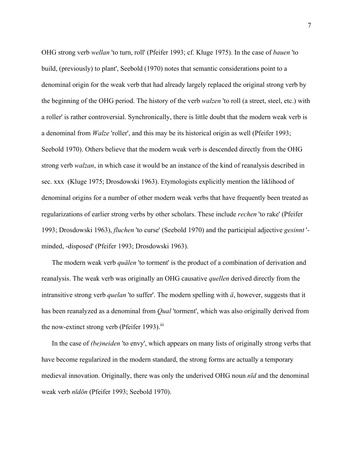OHG strong verb *wellan* 'to turn, roll' (Pfeifer 1993; cf. Kluge 1975). In the case of *bauen* 'to build, (previously) to plant', Seebold (1970) notes that semantic considerations point to a denominal origin for the weak verb that had already largely replaced the original strong verb by the beginning of the OHG period. The history of the verb *walzen* 'to roll (a street, steel, etc.) with a roller' is rather controversial. Synchronically, there is little doubt that the modern weak verb is a denominal from *Walze* 'roller', and this may be its historical origin as well (Pfeifer 1993; Seebold 1970). Others believe that the modern weak verb is descended directly from the OHG strong verb *walzan*, in which case it would be an instance of the kind of reanalysis described in sec. xxx (Kluge 1975; Drosdowski 1963). Etymologists explicitly mention the liklihood of denominal origins for a number of other modern weak verbs that have frequently been treated as regularizations of earlier strong verbs by other scholars. These include *rechen* 'to rake' (Pfeifer 1993; Drosdowski 1963), *fluchen* 'to curse' (Seebold 1970) and the participial adjective *gesinnt* ' minded, -disposed' (Pfeifer 1993; Drosdowski 1963).

The modern weak verb *quälen* 'to torment' is the product of a combination of derivation and reanalysis. The weak verb was originally an OHG causative *quellen* derived directly from the intransitive strong verb *quelan* 'to suffer'. The modern spelling with *ä*, however, suggests that it has been reanalyzed as a denominal from *Qual* 'torment', which was also originally derived from the now-extinct strong verb (Pfeifer 1993). $\rm{^{III}}$ 

In the case of *(be)neiden* 'to envy', which appears on many lists of originally strong verbs that have become regularized in the modern standard, the strong forms are actually a temporary medieval innovation. Originally, there was only the underived OHG noun *nīd* and the denominal weak verb *nīdōn* (Pfeifer 1993; Seebold 1970).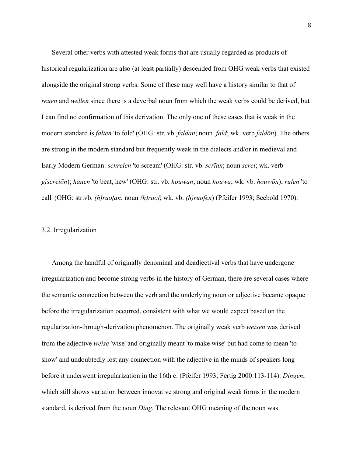Several other verbs with attested weak forms that are usually regarded as products of historical regularization are also (at least partially) descended from OHG weak verbs that existed alongside the original strong verbs. Some of these may well have a history similar to that of *reuen* and *wellen* since there is a deverbal noun from which the weak verbs could be derived, but I can find no confirmation of this derivation. The only one of these cases that is weak in the modern standard is *falten* 'to fold' (OHG: str. vb. *faldan*; noun *fald*; wk. verb *faldōn*). The others are strong in the modern standard but frequently weak in the dialects and/or in medieval and Early Modern German: *schreien* 'to scream' (OHG: str. vb. *scrīan*; noun *screi*; wk. verb *giscreiōn*); *hauen* 'to beat, hew' (OHG: str. vb. *houwan*; noun *houwa*; wk. vb. *houwōn*); *rufen* 'to call' (OHG: str.vb. *(h)ruofan*; noun *(h)ruof*; wk. vb. *(h)ruofen*) (Pfeifer 1993; Seebold 1970).

## 3.2. Irregularization

Among the handful of originally denominal and deadjectival verbs that have undergone irregularization and become strong verbs in the history of German, there are several cases where the semantic connection between the verb and the underlying noun or adjective became opaque before the irregularization occurred, consistent with what we would expect based on the regularization-through-derivation phenomenon. The originally weak verb *weisen* was derived from the adjective *weise* 'wise' and originally meant 'to make wise' but had come to mean 'to show' and undoubtedly lost any connection with the adjective in the minds of speakers long before it underwent irregularization in the 16th c. (Pfeifer 1993; Fertig 2000:113-114). *Dingen*, which still shows variation between innovative strong and original weak forms in the modern standard, is derived from the noun *Ding*. The relevant OHG meaning of the noun was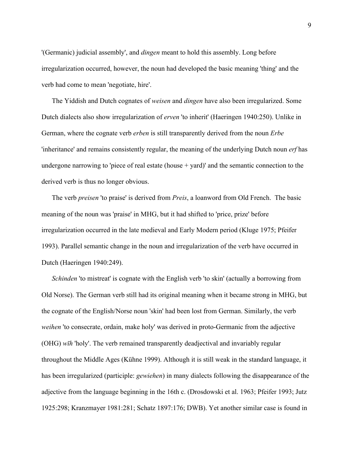'(Germanic) judicial assembly', and *dingen* meant to hold this assembly. Long before irregularization occurred, however, the noun had developed the basic meaning 'thing' and the verb had come to mean 'negotiate, hire'.

The Yiddish and Dutch cognates of *weisen* and *dingen* have also been irregularized. Some Dutch dialects also show irregularization of *erven* 'to inherit' (Haeringen 1940:250). Unlike in German, where the cognate verb *erben* is still transparently derived from the noun *Erbe* 'inheritance' and remains consistently regular, the meaning of the underlying Dutch noun *erf* has undergone narrowing to 'piece of real estate (house  $+$  yard)' and the semantic connection to the derived verb is thus no longer obvious.

The verb *preisen* 'to praise' is derived from *Preis*, a loanword from Old French. The basic meaning of the noun was 'praise' in MHG, but it had shifted to 'price, prize' before irregularization occurred in the late medieval and Early Modern period (Kluge 1975; Pfeifer 1993). Parallel semantic change in the noun and irregularization of the verb have occurred in Dutch (Haeringen 1940:249).

*Schinden* 'to mistreat' is cognate with the English verb 'to skin' (actually a borrowing from Old Norse). The German verb still had its original meaning when it became strong in MHG, but the cognate of the English/Norse noun 'skin' had been lost from German. Similarly, the verb *weihen* 'to consecrate, ordain, make holy' was derived in proto-Germanic from the adjective (OHG) *wīh* 'holy'. The verb remained transparently deadjectival and invariably regular throughout the Middle Ages (Kühne 1999). Although it is still weak in the standard language, it has been irregularized (participle: *gewiehen*) in many dialects following the disappearance of the adjective from the language beginning in the 16th c. (Drosdowski et al. 1963; Pfeifer 1993; Jutz 1925:298; Kranzmayer 1981:281; Schatz 1897:176; DWB). Yet another similar case is found in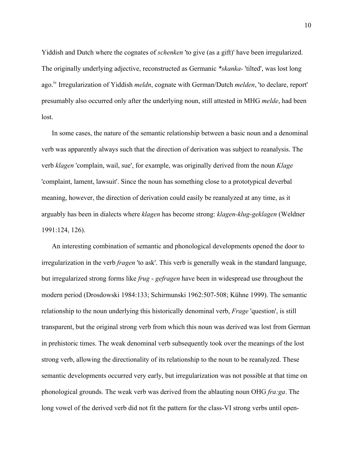Yiddish and Dutch where the cognates of *schenken* 'to give (as a gift)' have been irregularized. The originally underlying adjective, reconstructed as Germanic *\*skanka-* 'tilted', was lost long ago.iv Irregularization of Yiddish *meldn*, cognate with German/Dutch *melden*, 'to declare, report' presumably also occurred only after the underlying noun, still attested in MHG *melde*, had been lost.

In some cases, the nature of the semantic relationship between a basic noun and a denominal verb was apparently always such that the direction of derivation was subject to reanalysis. The verb *klagen* 'complain, wail, sue', for example, was originally derived from the noun *Klage* 'complaint, lament, lawsuit'. Since the noun has something close to a prototypical deverbal meaning, however, the direction of derivation could easily be reanalyzed at any time, as it arguably has been in dialects where *klagen* has become strong: *klagen-klug-geklagen* (Weldner 1991:124, 126).

An interesting combination of semantic and phonological developments opened the door to irregularization in the verb *fragen* 'to ask'. This verb is generally weak in the standard language, but irregularized strong forms like *frug* - *gefragen* have been in widespread use throughout the modern period (Drosdowski 1984:133; Schirmunski 1962:507-508; Kühne 1999). The semantic relationship to the noun underlying this historically denominal verb, *Frage* 'question', is still transparent, but the original strong verb from which this noun was derived was lost from German in prehistoric times. The weak denominal verb subsequently took over the meanings of the lost strong verb, allowing the directionality of its relationship to the noun to be reanalyzed. These semantic developments occurred very early, but irregularization was not possible at that time on phonological grounds. The weak verb was derived from the ablauting noun OHG *fra:ga*. The long vowel of the derived verb did not fit the pattern for the class-VI strong verbs until open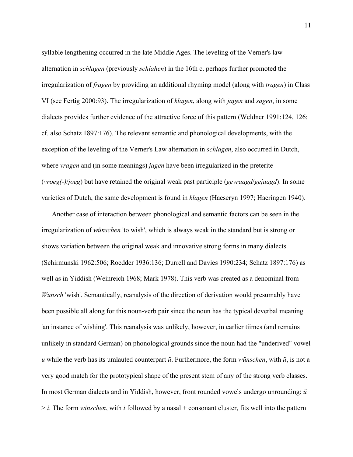syllable lengthening occurred in the late Middle Ages. The leveling of the Verner's law alternation in *schlagen* (previously *schlahen*) in the 16th c. perhaps further promoted the irregularization of *fragen* by providing an additional rhyming model (along with *tragen*) in Class VI (see Fertig 2000:93). The irregularization of *klagen*, along with *jagen* and *sagen*, in some dialects provides further evidence of the attractive force of this pattern (Weldner 1991:124, 126; cf. also Schatz 1897:176). The relevant semantic and phonological developments, with the exception of the leveling of the Verner's Law alternation in *schlagen*, also occurred in Dutch, where *vragen* and (in some meanings) *jagen* have been irregularized in the preterite (*vroeg(-)*/*joeg*) but have retained the original weak past participle (*gevraagd*/*gejaagd*). In some varieties of Dutch, the same development is found in *klagen* (Haeseryn 1997; Haeringen 1940).

Another case of interaction between phonological and semantic factors can be seen in the irregularization of *wünschen* 'to wish', which is always weak in the standard but is strong or shows variation between the original weak and innovative strong forms in many dialects (Schirmunski 1962:506; Roedder 1936:136; Durrell and Davies 1990:234; Schatz 1897:176) as well as in Yiddish (Weinreich 1968; Mark 1978). This verb was created as a denominal from *Wunsch* 'wish'. Semantically, reanalysis of the direction of derivation would presumably have been possible all along for this noun-verb pair since the noun has the typical deverbal meaning 'an instance of wishing'. This reanalysis was unlikely, however, in earlier tiimes (and remains unlikely in standard German) on phonological grounds since the noun had the "underived" vowel *u* while the verb has its umlauted counterpart *ü*. Furthermore, the form *wünschen*, with *ü*, is not a very good match for the prototypical shape of the present stem of any of the strong verb classes. In most German dialects and in Yiddish, however, front rounded vowels undergo unrounding: *ü* > *i*. The form *winschen*, with *i* followed by a nasal + consonant cluster, fits well into the pattern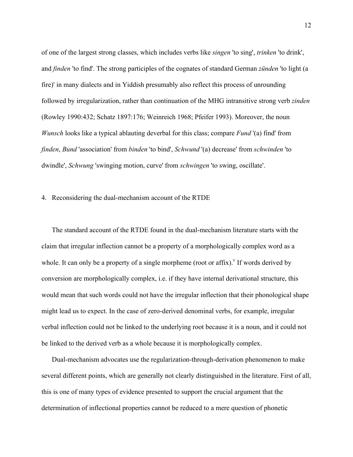of one of the largest strong classes, which includes verbs like *singen* 'to sing', *trinken* 'to drink', and *finden* 'to find'. The strong participles of the cognates of standard German *zünden* 'to light (a fire)' in many dialects and in Yiddish presumably also reflect this process of unrounding followed by irregularization, rather than continuation of the MHG intransitive strong verb *zinden* (Rowley 1990:432; Schatz 1897:176; Weinreich 1968; Pfeifer 1993). Moreover, the noun *Wunsch* looks like a typical ablauting deverbal for this class; compare *Fund* '(a) find' from *finden*, *Bund* 'association' from *binden* 'to bind', *Schwund* '(a) decrease' from *schwinden* 'to dwindle', *Schwung* 'swinging motion, curve' from *schwingen* 'to swing, oscillate'.

#### 4. Reconsidering the dual-mechanism account of the RTDE

The standard account of the RTDE found in the dual-mechanism literature starts with the claim that irregular inflection cannot be a property of a morphologically complex word as a whole. It can only be a property of a single morpheme (root or affix). If words derived by conversion are morphologically complex, i.e. if they have internal derivational structure, this would mean that such words could not have the irregular inflection that their phonological shape might lead us to expect. In the case of zero-derived denominal verbs, for example, irregular verbal inflection could not be linked to the underlying root because it is a noun, and it could not be linked to the derived verb as a whole because it is morphologically complex.

Dual-mechanism advocates use the regularization-through-derivation phenomenon to make several different points, which are generally not clearly distinguished in the literature. First of all, this is one of many types of evidence presented to support the crucial argument that the determination of inflectional properties cannot be reduced to a mere question of phonetic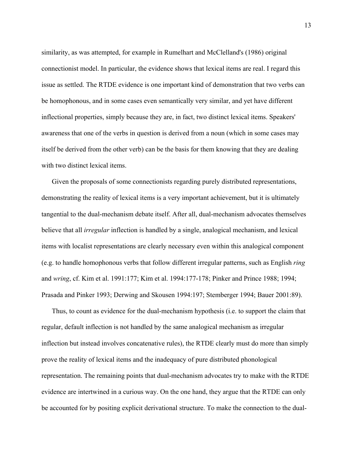similarity, as was attempted, for example in Rumelhart and McClelland's (1986) original connectionist model. In particular, the evidence shows that lexical items are real. I regard this issue as settled. The RTDE evidence is one important kind of demonstration that two verbs can be homophonous, and in some cases even semantically very similar, and yet have different inflectional properties, simply because they are, in fact, two distinct lexical items. Speakers' awareness that one of the verbs in question is derived from a noun (which in some cases may itself be derived from the other verb) can be the basis for them knowing that they are dealing with two distinct lexical items.

Given the proposals of some connectionists regarding purely distributed representations, demonstrating the reality of lexical items is a very important achievement, but it is ultimately tangential to the dual-mechanism debate itself. After all, dual-mechanism advocates themselves believe that all *irregular* inflection is handled by a single, analogical mechanism, and lexical items with localist representations are clearly necessary even within this analogical component (e.g. to handle homophonous verbs that follow different irregular patterns, such as English *ring* and *wring*, cf. Kim et al. 1991:177; Kim et al. 1994:177-178; Pinker and Prince 1988; 1994; Prasada and Pinker 1993; Derwing and Skousen 1994:197; Stemberger 1994; Bauer 2001:89).

Thus, to count as evidence for the dual-mechanism hypothesis (i.e. to support the claim that regular, default inflection is not handled by the same analogical mechanism as irregular inflection but instead involves concatenative rules), the RTDE clearly must do more than simply prove the reality of lexical items and the inadequacy of pure distributed phonological representation. The remaining points that dual-mechanism advocates try to make with the RTDE evidence are intertwined in a curious way. On the one hand, they argue that the RTDE can only be accounted for by positing explicit derivational structure. To make the connection to the dual-

13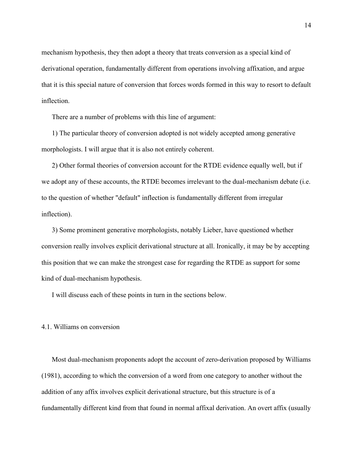mechanism hypothesis, they then adopt a theory that treats conversion as a special kind of derivational operation, fundamentally different from operations involving affixation, and argue that it is this special nature of conversion that forces words formed in this way to resort to default inflection.

There are a number of problems with this line of argument:

1) The particular theory of conversion adopted is not widely accepted among generative morphologists. I will argue that it is also not entirely coherent.

2) Other formal theories of conversion account for the RTDE evidence equally well, but if we adopt any of these accounts, the RTDE becomes irrelevant to the dual-mechanism debate (i.e. to the question of whether "default" inflection is fundamentally different from irregular inflection).

3) Some prominent generative morphologists, notably Lieber, have questioned whether conversion really involves explicit derivational structure at all. Ironically, it may be by accepting this position that we can make the strongest case for regarding the RTDE as support for some kind of dual-mechanism hypothesis.

I will discuss each of these points in turn in the sections below.

## 4.1. Williams on conversion

Most dual-mechanism proponents adopt the account of zero-derivation proposed by Williams (1981), according to which the conversion of a word from one category to another without the addition of any affix involves explicit derivational structure, but this structure is of a fundamentally different kind from that found in normal affixal derivation. An overt affix (usually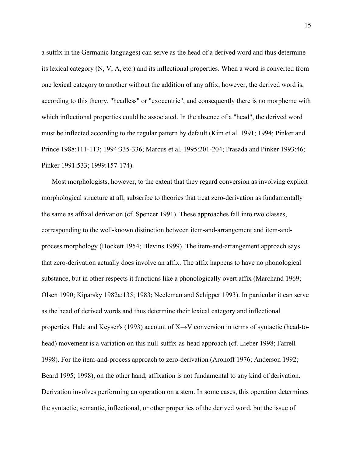a suffix in the Germanic languages) can serve as the head of a derived word and thus determine its lexical category (N, V, A, etc.) and its inflectional properties. When a word is converted from one lexical category to another without the addition of any affix, however, the derived word is, according to this theory, "headless" or "exocentric", and consequently there is no morpheme with which inflectional properties could be associated. In the absence of a "head", the derived word must be inflected according to the regular pattern by default (Kim et al. 1991; 1994; Pinker and Prince 1988:111-113; 1994:335-336; Marcus et al. 1995:201-204; Prasada and Pinker 1993:46; Pinker 1991:533; 1999:157-174).

Most morphologists, however, to the extent that they regard conversion as involving explicit morphological structure at all, subscribe to theories that treat zero-derivation as fundamentally the same as affixal derivation (cf. Spencer 1991). These approaches fall into two classes, corresponding to the well-known distinction between item-and-arrangement and item-andprocess morphology (Hockett 1954; Blevins 1999). The item-and-arrangement approach says that zero-derivation actually does involve an affix. The affix happens to have no phonological substance, but in other respects it functions like a phonologically overt affix (Marchand 1969; Olsen 1990; Kiparsky 1982a:135; 1983; Neeleman and Schipper 1993). In particular it can serve as the head of derived words and thus determine their lexical category and inflectional properties. Hale and Keyser's (1993) account of X→V conversion in terms of syntactic (head-tohead) movement is a variation on this null-suffix-as-head approach (cf. Lieber 1998; Farrell 1998). For the item-and-process approach to zero-derivation (Aronoff 1976; Anderson 1992; Beard 1995; 1998), on the other hand, affixation is not fundamental to any kind of derivation. Derivation involves performing an operation on a stem. In some cases, this operation determines the syntactic, semantic, inflectional, or other properties of the derived word, but the issue of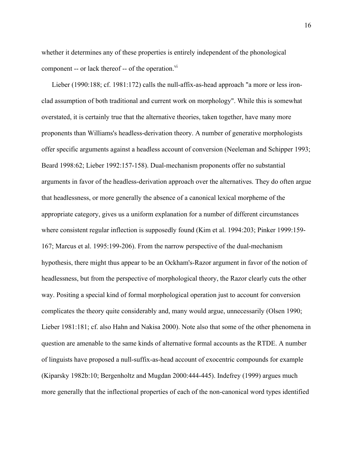whether it determines any of these properties is entirely independent of the phonological component -- or lack thereof -- of the operation. $\overline{v}$ <sup>vi</sup>

Lieber (1990:188; cf. 1981:172) calls the null-affix-as-head approach "a more or less ironclad assumption of both traditional and current work on morphology". While this is somewhat overstated, it is certainly true that the alternative theories, taken together, have many more proponents than Williams's headless-derivation theory. A number of generative morphologists offer specific arguments against a headless account of conversion (Neeleman and Schipper 1993; Beard 1998:62; Lieber 1992:157-158). Dual-mechanism proponents offer no substantial arguments in favor of the headless-derivation approach over the alternatives. They do often argue that headlessness, or more generally the absence of a canonical lexical morpheme of the appropriate category, gives us a uniform explanation for a number of different circumstances where consistent regular inflection is supposedly found (Kim et al. 1994:203; Pinker 1999:159- 167; Marcus et al. 1995:199-206). From the narrow perspective of the dual-mechanism hypothesis, there might thus appear to be an Ockham's-Razor argument in favor of the notion of headlessness, but from the perspective of morphological theory, the Razor clearly cuts the other way. Positing a special kind of formal morphological operation just to account for conversion complicates the theory quite considerably and, many would argue, unnecessarily (Olsen 1990; Lieber 1981:181; cf. also Hahn and Nakisa 2000). Note also that some of the other phenomena in question are amenable to the same kinds of alternative formal accounts as the RTDE. A number of linguists have proposed a null-suffix-as-head account of exocentric compounds for example (Kiparsky 1982b:10; Bergenholtz and Mugdan 2000:444-445). Indefrey (1999) argues much more generally that the inflectional properties of each of the non-canonical word types identified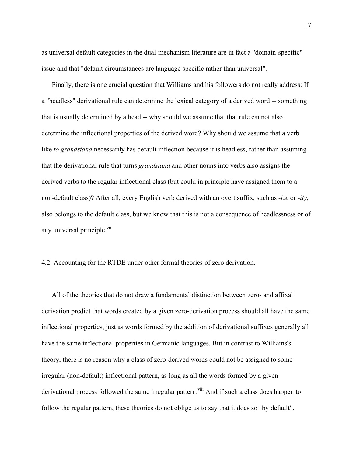as universal default categories in the dual-mechanism literature are in fact a "domain-specific" issue and that "default circumstances are language specific rather than universal".

Finally, there is one crucial question that Williams and his followers do not really address: If a "headless" derivational rule can determine the lexical category of a derived word -- something that is usually determined by a head -- why should we assume that that rule cannot also determine the inflectional properties of the derived word? Why should we assume that a verb like *to grandstand* necessarily has default inflection because it is headless, rather than assuming that the derivational rule that turns *grandstand* and other nouns into verbs also assigns the derived verbs to the regular inflectional class (but could in principle have assigned them to a non-default class)? After all, every English verb derived with an overt suffix, such as *-ize* or *-ify*, also belongs to the default class, but we know that this is not a consequence of headlessness or of any universal principle.<sup>vii</sup>

4.2. Accounting for the RTDE under other formal theories of zero derivation.

All of the theories that do not draw a fundamental distinction between zero- and affixal derivation predict that words created by a given zero-derivation process should all have the same inflectional properties, just as words formed by the addition of derivational suffixes generally all have the same inflectional properties in Germanic languages. But in contrast to Williams's theory, there is no reason why a class of zero-derived words could not be assigned to some irregular (non-default) inflectional pattern, as long as all the words formed by a given derivational process followed the same irregular pattern.<sup>viii</sup> And if such a class does happen to follow the regular pattern, these theories do not oblige us to say that it does so "by default".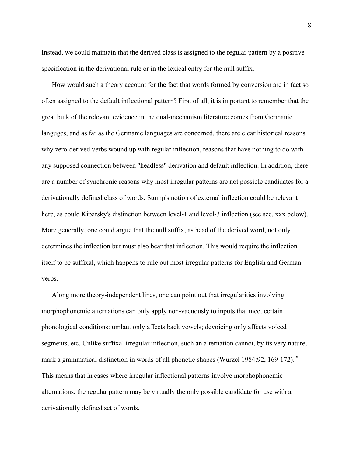Instead, we could maintain that the derived class is assigned to the regular pattern by a positive specification in the derivational rule or in the lexical entry for the null suffix.

How would such a theory account for the fact that words formed by conversion are in fact so often assigned to the default inflectional pattern? First of all, it is important to remember that the great bulk of the relevant evidence in the dual-mechanism literature comes from Germanic languges, and as far as the Germanic languages are concerned, there are clear historical reasons why zero-derived verbs wound up with regular inflection, reasons that have nothing to do with any supposed connection between "headless" derivation and default inflection. In addition, there are a number of synchronic reasons why most irregular patterns are not possible candidates for a derivationally defined class of words. Stump's notion of external inflection could be relevant here, as could Kiparsky's distinction between level-1 and level-3 inflection (see sec. xxx below). More generally, one could argue that the null suffix, as head of the derived word, not only determines the inflection but must also bear that inflection. This would require the inflection itself to be suffixal, which happens to rule out most irregular patterns for English and German verbs.

Along more theory-independent lines, one can point out that irregularities involving morphophonemic alternations can only apply non-vacuously to inputs that meet certain phonological conditions: umlaut only affects back vowels; devoicing only affects voiced segments, etc. Unlike suffixal irregular inflection, such an alternation cannot, by its very nature, mark a grammatical distinction in words of all phonetic shapes (Wurzel 1984:92, 169-172).<sup>ix</sup> This means that in cases where irregular inflectional patterns involve morphophonemic alternations, the regular pattern may be virtually the only possible candidate for use with a derivationally defined set of words.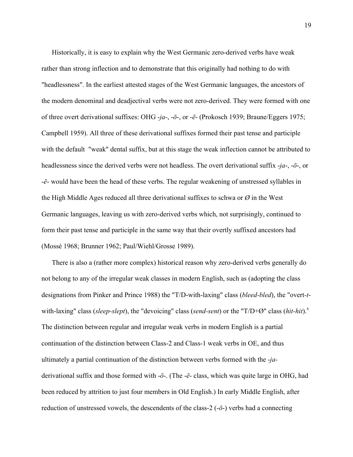Historically, it is easy to explain why the West Germanic zero-derived verbs have weak rather than strong inflection and to demonstrate that this originally had nothing to do with "headlessness". In the earliest attested stages of the West Germanic languages, the ancestors of the modern denominal and deadjectival verbs were not zero-derived. They were formed with one of three overt derivational suffixes: OHG -*ja*-, -*ō*-, or -*ē*- (Prokosch 1939; Braune/Eggers 1975; Campbell 1959). All three of these derivational suffixes formed their past tense and participle with the default "weak" dental suffix, but at this stage the weak inflection cannot be attributed to headlessness since the derived verbs were not headless. The overt derivational suffix -*ja*-, -*ō*-, or -*ē*- would have been the head of these verbs. The regular weakening of unstressed syllables in the High Middle Ages reduced all three derivational suffixes to schwa or *Ø* in the West Germanic languages, leaving us with zero-derived verbs which, not surprisingly, continued to form their past tense and participle in the same way that their overtly suffixed ancestors had (Mossé 1968; Brunner 1962; Paul/Wiehl/Grosse 1989).

There is also a (rather more complex) historical reason why zero-derived verbs generally do not belong to any of the irregular weak classes in modern English, such as (adopting the class designations from Pinker and Prince 1988) the "T/D-with-laxing" class (*bleed-bled*), the "overt*-t*with-laxing" class (*sleep-slept*), the "devoicing" class (*send-sent*) or the "T/D+Ø" class (*hit-hit*).<sup>x</sup> The distinction between regular and irregular weak verbs in modern English is a partial continuation of the distinction between Class-2 and Class-1 weak verbs in OE, and thus ultimately a partial continuation of the distinction between verbs formed with the -*ja*derivational suffix and those formed with -*ō*-. (The -*ē*- class, which was quite large in OHG, had been reduced by attrition to just four members in Old English.) In early Middle English, after reduction of unstressed vowels, the descendents of the class-2 (-*ō*-) verbs had a connecting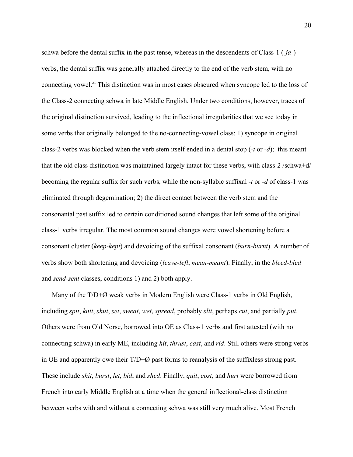schwa before the dental suffix in the past tense, whereas in the descendents of Class-1 (-*ja-*) verbs, the dental suffix was generally attached directly to the end of the verb stem, with no connecting vowel.<sup>xi</sup> This distinction was in most cases obscured when syncope led to the loss of the Class-2 connecting schwa in late Middle English. Under two conditions, however, traces of the original distinction survived, leading to the inflectional irregularities that we see today in some verbs that originally belonged to the no-connecting-vowel class: 1) syncope in original class-2 verbs was blocked when the verb stem itself ended in a dental stop (*-t* or *-d*); this meant that the old class distinction was maintained largely intact for these verbs, with class-2 /schwa+d/ becoming the regular suffix for such verbs, while the non-syllabic suffixal *-t* or *-d* of class-1 was eliminated through degemination; 2) the direct contact between the verb stem and the consonantal past suffix led to certain conditioned sound changes that left some of the original class-1 verbs irregular. The most common sound changes were vowel shortening before a consonant cluster (*keep-kept*) and devoicing of the suffixal consonant (*burn-burnt*). A number of verbs show both shortening and devoicing (*leave-left*, *mean-meant*). Finally, in the *bleed-bled* and *send*-*sent* classes, conditions 1) and 2) both apply.

Many of the T/D+Ø weak verbs in Modern English were Class-1 verbs in Old English, including *spit*, *knit*, *shut*, *set*, *sweat*, *wet*, *spread*, probably *slit*, perhaps *cut*, and partially *put*. Others were from Old Norse, borrowed into OE as Class-1 verbs and first attested (with no connecting schwa) in early ME, including *hit*, *thrust*, *cast*, and *rid*. Still others were strong verbs in OE and apparently owe their  $T/D+\emptyset$  past forms to reanalysis of the suffixless strong past. These include *shit*, *burst*, *let*, *bid*, and *shed*. Finally, *quit*, *cost*, and *hurt* were borrowed from French into early Middle English at a time when the general inflectional-class distinction between verbs with and without a connecting schwa was still very much alive. Most French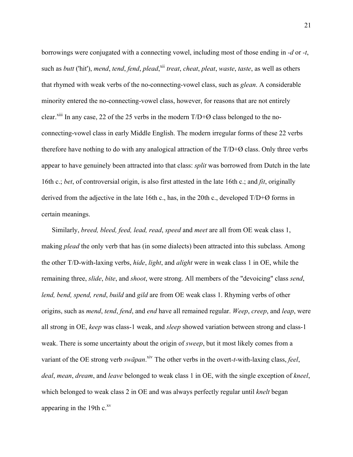borrowings were conjugated with a connecting vowel, including most of those ending in *-d* or *-t*, such as *butt* ('hit'), *mend*, *tend*, *fend*, *plead*, xii *treat*, *cheat*, *pleat*, *waste*, *taste*, as well as others that rhymed with weak verbs of the no-connecting-vowel class, such as *glean*. A considerable minority entered the no-connecting-vowel class, however, for reasons that are not entirely clear.<sup> $xiii$ </sup> In any case, 22 of the 25 verbs in the modern  $T/D+\emptyset$  class belonged to the noconnecting-vowel class in early Middle English. The modern irregular forms of these 22 verbs therefore have nothing to do with any analogical attraction of the  $T/D+Ø$  class. Only three verbs appear to have genuinely been attracted into that class: *split* was borrowed from Dutch in the late 16th c.; *bet*, of controversial origin, is also first attested in the late 16th c.; and *fit*, originally derived from the adjective in the late 16th c., has, in the 20th c., developed  $T/D+Ø$  forms in certain meanings.

Similarly, *breed, bleed, feed, lead, read*, *speed* and *meet* are all from OE weak class 1, making *plead* the only verb that has (in some dialects) been attracted into this subclass. Among the other T/D-with-laxing verbs, *hide*, *light*, and *alight* were in weak class 1 in OE, while the remaining three, *slide*, *bite*, and *shoot*, were strong. All members of the "devoicing" class *send*, *lend, bend, spend, rend*, *build* and *gild* are from OE weak class 1. Rhyming verbs of other origins, such as *mend*, *tend*, *fend*, and *end* have all remained regular. *Weep*, *creep*, and *leap*, were all strong in OE, *keep* was class-1 weak, and *sleep* showed variation between strong and class-1 weak. There is some uncertainty about the origin of *sweep*, but it most likely comes from a variant of the OE strong verb *swāpan*.<sup>xiv</sup> The other verbs in the overt-*t*-with-laxing class, *feel*, *deal*, *mean*, *dream*, and *leave* belonged to weak class 1 in OE, with the single exception of *kneel*, which belonged to weak class 2 in OE and was always perfectly regular until *knelt* began appearing in the 19th  $c<sub>xv</sub>$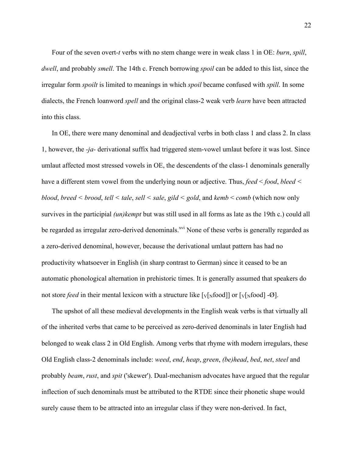Four of the seven overt*-t* verbs with no stem change were in weak class 1 in OE: *burn*, *spill*, *dwell*, and probably *smell*. The 14th c. French borrowing *spoil* can be added to this list, since the irregular form *spoilt* is limited to meanings in which *spoil* became confused with *spill*. In some dialects, the French loanword *spell* and the original class-2 weak verb *learn* have been attracted into this class.

In OE, there were many denominal and deadjectival verbs in both class 1 and class 2. In class 1, however, the *-ja-* derivational suffix had triggered stem-vowel umlaut before it was lost. Since umlaut affected most stressed vowels in OE, the descendents of the class-1 denominals generally have a different stem vowel from the underlying noun or adjective. Thus, *feed* < *food*, *bleed < blood*, *breed < brood*, *tell < tale*, *sell < sale*, *gild < gold*, and *kemb* < *comb* (which now only survives in the participial *(un)kempt* but was still used in all forms as late as the 19th c.) could all be regarded as irregular zero-derived denominals.<sup>xvi</sup> None of these verbs is generally regarded as a zero-derived denominal, however, because the derivational umlaut pattern has had no productivity whatsoever in English (in sharp contrast to German) since it ceased to be an automatic phonological alternation in prehistoric times. It is generally assumed that speakers do not store *feed* in their mental lexicon with a structure like  $[\sqrt{x} \cdot \text{d} \cdot \text{d} \cdot \text{d} \cdot \text{d}]$ .

The upshot of all these medieval developments in the English weak verbs is that virtually all of the inherited verbs that came to be perceived as zero-derived denominals in later English had belonged to weak class 2 in Old English. Among verbs that rhyme with modern irregulars, these Old English class-2 denominals include: *weed*, *end*, *heap*, *green*, *(be)head*, *bed*, *net*, *steel* and probably *beam*, *rust*, and *spit* ('skewer'). Dual-mechanism advocates have argued that the regular inflection of such denominals must be attributed to the RTDE since their phonetic shape would surely cause them to be attracted into an irregular class if they were non-derived. In fact,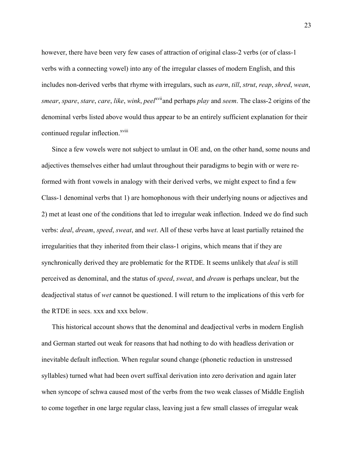however, there have been very few cases of attraction of original class-2 verbs (or of class-1 verbs with a connecting vowel) into any of the irregular classes of modern English, and this includes non-derived verbs that rhyme with irregulars, such as *earn*, *till*, *strut*, *reap*, *shred*, *wean*, *smear*, *spare*, *stare*, *care*, *like*, *wink*, *peel*xviiand perhaps *play* and *seem*. The class-2 origins of the denominal verbs listed above would thus appear to be an entirely sufficient explanation for their continued regular inflection.<sup>xviii</sup>

Since a few vowels were not subject to umlaut in OE and, on the other hand, some nouns and adjectives themselves either had umlaut throughout their paradigms to begin with or were reformed with front vowels in analogy with their derived verbs, we might expect to find a few Class-1 denominal verbs that 1) are homophonous with their underlying nouns or adjectives and 2) met at least one of the conditions that led to irregular weak inflection. Indeed we do find such verbs: *deal*, *dream*, *speed*, *sweat*, and *wet*. All of these verbs have at least partially retained the irregularities that they inherited from their class-1 origins, which means that if they are synchronically derived they are problematic for the RTDE. It seems unlikely that *deal* is still perceived as denominal, and the status of *speed*, *sweat*, and *dream* is perhaps unclear, but the deadjectival status of *wet* cannot be questioned. I will return to the implications of this verb for the RTDE in secs. xxx and xxx below.

This historical account shows that the denominal and deadjectival verbs in modern English and German started out weak for reasons that had nothing to do with headless derivation or inevitable default inflection. When regular sound change (phonetic reduction in unstressed syllables) turned what had been overt suffixal derivation into zero derivation and again later when syncope of schwa caused most of the verbs from the two weak classes of Middle English to come together in one large regular class, leaving just a few small classes of irregular weak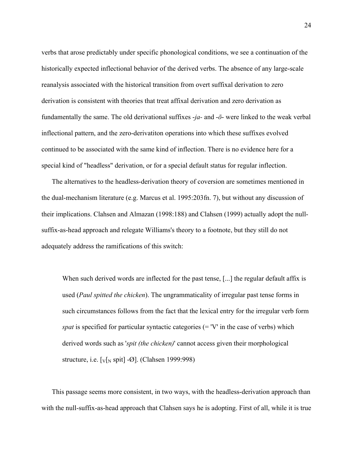verbs that arose predictably under specific phonological conditions, we see a continuation of the historically expected inflectional behavior of the derived verbs. The absence of any large-scale reanalysis associated with the historical transition from overt suffixal derivation to zero derivation is consistent with theories that treat affixal derivation and zero derivation as fundamentally the same. The old derivational suffixes -*ja-* and -*ō*- were linked to the weak verbal inflectional pattern, and the zero-derivatiton operations into which these suffixes evolved continued to be associated with the same kind of inflection. There is no evidence here for a special kind of "headless" derivation, or for a special default status for regular inflection.

The alternatives to the headless-derivation theory of coversion are sometimes mentioned in the dual-mechanism literature (e.g. Marcus et al. 1995:203fn. 7), but without any discussion of their implications. Clahsen and Almazan (1998:188) and Clahsen (1999) actually adopt the nullsuffix-as-head approach and relegate Williams's theory to a footnote, but they still do not adequately address the ramifications of this switch:

When such derived words are inflected for the past tense, [...] the regular default affix is used (*Paul spitted the chicken*). The ungrammaticality of irregular past tense forms in such circumstances follows from the fact that the lexical entry for the irregular verb form *spat* is specified for particular syntactic categories (= 'V' in the case of verbs) which derived words such as '*spit (the chicken)*' cannot access given their morphological structure, i.e.  $[v]_N$  spit] - $\emptyset$ . (Clahsen 1999:998)

This passage seems more consistent, in two ways, with the headless-derivation approach than with the null-suffix-as-head approach that Clahsen says he is adopting. First of all, while it is true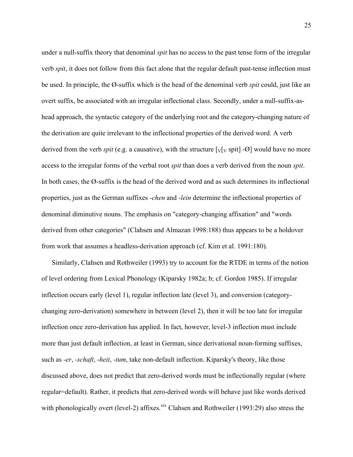under a null-suffix theory that denominal *spit* has no access to the past tense form of the irregular verb *spit*, it does not follow from this fact alone that the regular default past-tense inflection must be used. In principle, the Ø-suffix which is the head of the denominal verb *spit* could, just like an overt suffix, be associated with an irregular inflectional class. Secondly, under a null-suffix-ashead approach, the syntactic category of the underlying root and the category-changing nature of the derivation are quite irrelevant to the inflectional properties of the derived word. A verb derived from the verb *spit* (e.g. a causative), with the structure  $[\sqrt{V} \text{ split}]$  - $\emptyset$  would have no more access to the irregular forms of the verbal root *spit* than does a verb derived from the noun *spit*. In both cases, the Ø-suffix is the head of the derived word and as such determines its inflectional properties, just as the German suffixes *-chen* and *-lein* determine the inflectional properties of denominal diminutive nouns. The emphasis on "category-changing affixation" and "words derived from other categories" (Clahsen and Almazan 1998:188) thus appears to be a holdover from work that assumes a headless-derivation approach (cf. Kim et al. 1991:180).

Similarly, Clahsen and Rothweiler (1993) try to account for the RTDE in terms of the notion of level ordering from Lexical Phonology (Kiparsky 1982a; b; cf. Gordon 1985). If irregular inflection occurs early (level 1), regular inflection late (level 3), and conversion (categorychanging zero-derivation) somewhere in between (level 2), then it will be too late for irregular inflection once zero-derivation has applied. In fact, however, level-3 inflection must include more than just default inflection, at least in German, since derivational noun-forming suffixes, such as *-er*, *-schaft*, -*heit*, *-tum*, take non-default inflection. Kiparsky's theory, like those discussed above, does not predict that zero-derived words must be inflectionally regular (where regular=default). Rather, it predicts that zero-derived words will behave just like words derived with phonologically overt (level-2) affixes.<sup>xix</sup> Clahsen and Rothweiler (1993:29) also stress the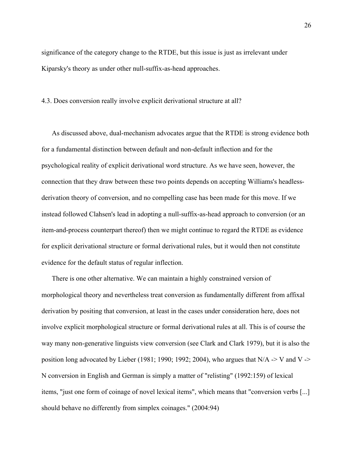significance of the category change to the RTDE, but this issue is just as irrelevant under Kiparsky's theory as under other null-suffix-as-head approaches.

## 4.3. Does conversion really involve explicit derivational structure at all?

As discussed above, dual-mechanism advocates argue that the RTDE is strong evidence both for a fundamental distinction between default and non-default inflection and for the psychological reality of explicit derivational word structure. As we have seen, however, the connection that they draw between these two points depends on accepting Williams's headlessderivation theory of conversion, and no compelling case has been made for this move. If we instead followed Clahsen's lead in adopting a null-suffix-as-head approach to conversion (or an item-and-process counterpart thereof) then we might continue to regard the RTDE as evidence for explicit derivational structure or formal derivational rules, but it would then not constitute evidence for the default status of regular inflection.

There is one other alternative. We can maintain a highly constrained version of morphological theory and nevertheless treat conversion as fundamentally different from affixal derivation by positing that conversion, at least in the cases under consideration here, does not involve explicit morphological structure or formal derivational rules at all. This is of course the way many non-generative linguists view conversion (see Clark and Clark 1979), but it is also the position long advocated by Lieber (1981; 1990; 1992; 2004), who argues that  $N/A \rightarrow V$  and V  $\rightarrow$ N conversion in English and German is simply a matter of "relisting" (1992:159) of lexical items, "just one form of coinage of novel lexical items", which means that "conversion verbs [...] should behave no differently from simplex coinages." (2004:94)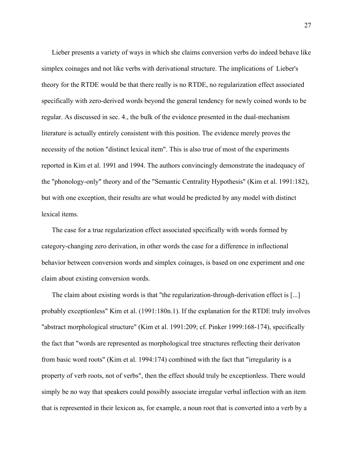Lieber presents a variety of ways in which she claims conversion verbs do indeed behave like simplex coinages and not like verbs with derivational structure. The implications of Lieber's theory for the RTDE would be that there really is no RTDE, no regularization effect associated specifically with zero-derived words beyond the general tendency for newly coined words to be regular. As discussed in sec. 4., the bulk of the evidence presented in the dual-mechanism literature is actually entirely consistent with this position. The evidence merely proves the necessity of the notion "distinct lexical item". This is also true of most of the experiments reported in Kim et al. 1991 and 1994. The authors convincingly demonstrate the inadequacy of the "phonology-only" theory and of the "Semantic Centrality Hypothesis" (Kim et al. 1991:182), but with one exception, their results are what would be predicted by any model with distinct lexical items.

The case for a true regularization effect associated specifically with words formed by category-changing zero derivation, in other words the case for a difference in inflectional behavior between conversion words and simplex coinages, is based on one experiment and one claim about existing conversion words.

The claim about existing words is that "the regularization-through-derivation effect is [...] probably exceptionless" Kim et al. (1991:180n.1). If the explanation for the RTDE truly involves "abstract morphological structure" (Kim et al. 1991:209; cf. Pinker 1999:168-174), specifically the fact that "words are represented as morphological tree structures reflecting their derivaton from basic word roots" (Kim et al. 1994:174) combined with the fact that "irregularity is a property of verb roots, not of verbs", then the effect should truly be exceptionless. There would simply be no way that speakers could possibly associate irregular verbal inflection with an item that is represented in their lexicon as, for example, a noun root that is converted into a verb by a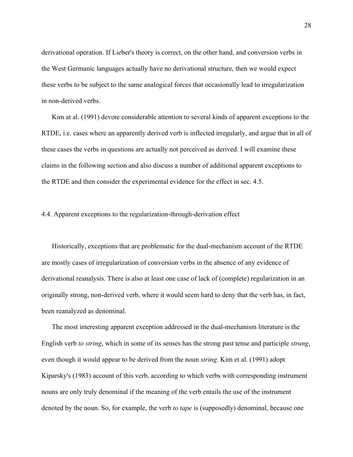derivational operation. If Lieber's theory is correct, on the other hand, and conversion verbs in the West Germanic languages actually have no derivational structure, then we would expect these verbs to be subject to the same analogical forces that occasionally lead to irregularization in non-derived verbs.

Kim at al. (1991) devote considerable attention to several kinds of apparent exceptions to the RTDE, i.e. cases where an apparently derived verb is inflected irregularly, and argue that in all of these cases the verbs in questions are actually not perceived as derived. I will examine these claims in the following section and also discuss a number of additional apparent exceptions to the RTDE and then consider the experimental evidence for the effect in sec. 4.5.

# 4.4. Apparent exceptions to the regularization-through-derivation effect

Historically, exceptions that are problematic for the dual-mechanism account of the RTDE are mostly cases of irregularization of conversion verbs in the absence of any evidence of derivational reanalysis. There is also at least one case of lack of (complete) regularization in an originally strong, non-derived verb, where it would seem hard to deny that the verb has, in fact, been reanalyzed as denominal.

The most interesting apparent exception addressed in the dual-mechanism literature is the English verb *to string*, which in some of its senses has the strong past tense and participle *strung*, even though it would appear to be derived from the noun *string*. Kim et al. (1991) adopt Kiparsky's (1983) account of this verb, according to which verbs with corresponding instrument nouns are only truly denominal if the meaning of the verb entails the use of the instrument denoted by the noun. So, for example, the verb *to tape* is (supposedly) denominal, because one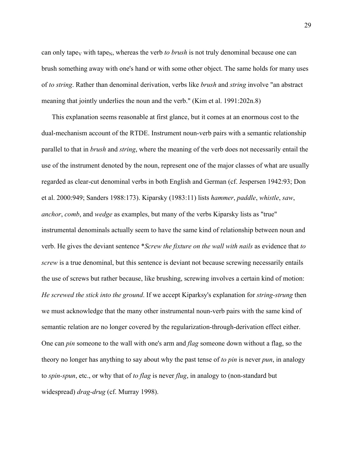can only tape<sub>N</sub> with tape<sub>N</sub>, whereas the verb *to brush* is not truly denominal because one can brush something away with one's hand or with some other object. The same holds for many uses of *to string*. Rather than denominal derivation, verbs like *brush* and *string* involve "an abstract meaning that jointly underlies the noun and the verb." (Kim et al. 1991:202n.8)

This explanation seems reasonable at first glance, but it comes at an enormous cost to the dual-mechanism account of the RTDE. Instrument noun-verb pairs with a semantic relationship parallel to that in *brush* and *string*, where the meaning of the verb does not necessarily entail the use of the instrument denoted by the noun, represent one of the major classes of what are usually regarded as clear-cut denominal verbs in both English and German (cf. Jespersen 1942:93; Don et al. 2000:949; Sanders 1988:173). Kiparsky (1983:11) lists *hammer*, *paddle*, *whistle*, *saw*, *anchor*, *comb*, and *wedge* as examples, but many of the verbs Kiparsky lists as "true" instrumental denominals actually seem to have the same kind of relationship between noun and verb. He gives the deviant sentence \**Screw the fixture on the wall with nails* as evidence that *to screw* is a true denominal, but this sentence is deviant not because screwing necessarily entails the use of screws but rather because, like brushing, screwing involves a certain kind of motion: *He screwed the stick into the ground*. If we accept Kiparksy's explanation for *string-strung* then we must acknowledge that the many other instrumental noun-verb pairs with the same kind of semantic relation are no longer covered by the regularization-through-derivation effect either. One can *pin* someone to the wall with one's arm and *flag* someone down without a flag, so the theory no longer has anything to say about why the past tense of *to pin* is never *pun*, in analogy to *spin-spun*, etc., or why that of *to flag* is never *flug*, in analogy to (non-standard but widespread) *drag-drug* (cf. Murray 1998).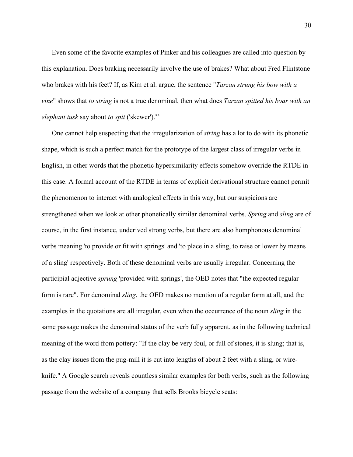Even some of the favorite examples of Pinker and his colleagues are called into question by this explanation. Does braking necessarily involve the use of brakes? What about Fred Flintstone who brakes with his feet? If, as Kim et al. argue, the sentence "*Tarzan strung his bow with a vine*" shows that *to string* is not a true denominal, then what does *Tarzan spitted his boar with an elephant tusk* say about *to spit* ('skewer').<sup>xx</sup>

One cannot help suspecting that the irregularization of *string* has a lot to do with its phonetic shape, which is such a perfect match for the prototype of the largest class of irregular verbs in English, in other words that the phonetic hypersimilarity effects somehow override the RTDE in this case. A formal account of the RTDE in terms of explicit derivational structure cannot permit the phenomenon to interact with analogical effects in this way, but our suspicions are strengthened when we look at other phonetically similar denominal verbs. *Spring* and *sling* are of course, in the first instance, underived strong verbs, but there are also homphonous denominal verbs meaning 'to provide or fit with springs' and 'to place in a sling, to raise or lower by means of a sling' respectively. Both of these denominal verbs are usually irregular. Concerning the participial adjective *sprung* 'provided with springs', the OED notes that "the expected regular form is rare". For denominal *sling*, the OED makes no mention of a regular form at all, and the examples in the quotations are all irregular, even when the occurrence of the noun *sling* in the same passage makes the denominal status of the verb fully apparent, as in the following technical meaning of the word from pottery: "If the clay be very foul, or full of stones, it is slung; that is, as the clay issues from the pug-mill it is cut into lengths of about 2 feet with a sling, or wireknife." A Google search reveals countless similar examples for both verbs, such as the following passage from the website of a company that sells Brooks bicycle seats: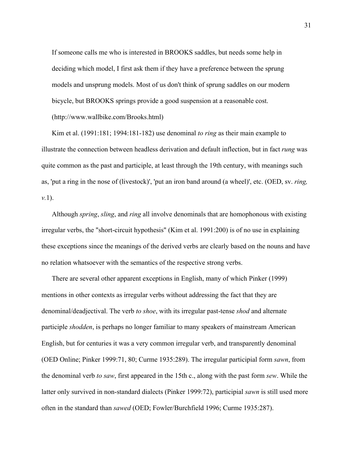If someone calls me who is interested in BROOKS saddles, but needs some help in deciding which model, I first ask them if they have a preference between the sprung models and unsprung models. Most of us don't think of sprung saddles on our modern bicycle, but BROOKS springs provide a good suspension at a reasonable cost. (http://www.wallbike.com/Brooks.html)

Kim et al. (1991:181; 1994:181-182) use denominal *to ring* as their main example to illustrate the connection between headless derivation and default inflection, but in fact *rung* was quite common as the past and participle, at least through the 19th century, with meanings such as, 'put a ring in the nose of (livestock)', 'put an iron band around (a wheel)', etc. (OED, sv. *ring, v.*1).

Although *spring*, *sling*, and *ring* all involve denominals that are homophonous with existing irregular verbs, the "short-circuit hypothesis" (Kim et al. 1991:200) is of no use in explaining these exceptions since the meanings of the derived verbs are clearly based on the nouns and have no relation whatsoever with the semantics of the respective strong verbs.

There are several other apparent exceptions in English, many of which Pinker (1999) mentions in other contexts as irregular verbs without addressing the fact that they are denominal/deadjectival. The verb *to shoe*, with its irregular past-tense *shod* and alternate participle *shodden*, is perhaps no longer familiar to many speakers of mainstream American English, but for centuries it was a very common irregular verb, and transparently denominal (OED Online; Pinker 1999:71, 80; Curme 1935:289). The irregular participial form *sawn*, from the denominal verb *to saw*, first appeared in the 15th c., along with the past form *sew*. While the latter only survived in non-standard dialects (Pinker 1999:72), participial *sawn* is still used more often in the standard than *sawed* (OED; Fowler/Burchfield 1996; Curme 1935:287).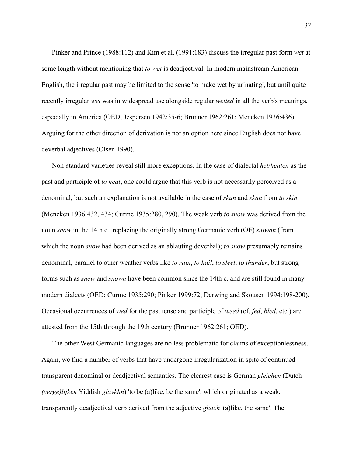Pinker and Prince (1988:112) and Kim et al. (1991:183) discuss the irregular past form *wet* at some length without mentioning that *to wet* is deadjectival. In modern mainstream American English, the irregular past may be limited to the sense 'to make wet by urinating', but until quite recently irregular *wet* was in widespread use alongside regular *wetted* in all the verb's meanings, especially in America (OED; Jespersen 1942:35-6; Brunner 1962:261; Mencken 1936:436). Arguing for the other direction of derivation is not an option here since English does not have deverbal adjectives (Olsen 1990).

Non-standard varieties reveal still more exceptions. In the case of dialectal *het*/*heaten* as the past and participle of *to heat*, one could argue that this verb is not necessarily perceived as a denominal, but such an explanation is not available in the case of *skun* and *skan* from *to skin* (Mencken 1936:432, 434; Curme 1935:280, 290). The weak verb *to snow* was derived from the noun *snow* in the 14th c., replacing the originally strong Germanic verb (OE) *snīwan* (from which the noun *snow* had been derived as an ablauting deverbal); *to snow* presumably remains denominal, parallel to other weather verbs like *to rain*, *to hail*, *to sleet*, *to thunder*, but strong forms such as *snew* and *snown* have been common since the 14th c. and are still found in many modern dialects (OED; Curme 1935:290; Pinker 1999:72; Derwing and Skousen 1994:198-200). Occasional occurrences of *wed* for the past tense and participle of *weed* (cf. *fed*, *bled*, etc.) are attested from the 15th through the 19th century (Brunner 1962:261; OED).

The other West Germanic languages are no less problematic for claims of exceptionlessness. Again, we find a number of verbs that have undergone irregularization in spite of continued transparent denominal or deadjectival semantics. The clearest case is German *gleichen* (Dutch *(verge)lijken* Yiddish *glaykhn*) 'to be (a)like, be the same', which originated as a weak, transparently deadjectival verb derived from the adjective *gleich* '(a)like, the same'. The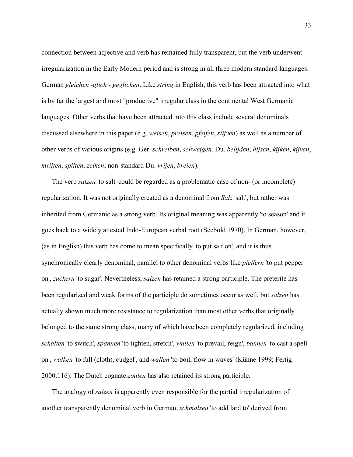connection between adjective and verb has remained fully transparent, but the verb underwent irregularization in the Early Modern period and is strong in all three modern standard languages: German *gleichen -glich - geglichen*. Like *string* in English, this verb has been attracted into what is by far the largest and most "productive" irregular class in the continental West Germanic languages. Other verbs that have been attracted into this class include several denominals discussed elsewhere in this paper (e.g. *weisen*, *preisen*, *pfeifen*, *stijven*) as well as a number of other verbs of various origins (e.g. Ger. *schreiben*, *schweigen*, Du. *belijden*, *hijsen*, *kijken*, *kijven*, *kwijten*, *spijten*, *zeiken*; non-standard Du. *vrijen*, *breien*).

The verb *salzen* 'to salt' could be regarded as a problematic case of non- (or incomplete) regularization. It was not originally created as a denominal from *Salz* 'salt', but rather was inherited from Germanic as a strong verb. Its original meaning was apparently 'to season' and it goes back to a widely attested Indo-European verbal root (Seebold 1970). In German, however, (as in English) this verb has come to mean specifically 'to put salt on', and it is thus synchronically clearly denominal, parallel to other denominal verbs like *pfeffern* 'to put pepper on', *zuckern* 'to sugar'. Nevertheless, *salzen* has retained a strong participle. The preterite has been regularized and weak forms of the participle do sometimes occur as well, but *salzen* has actually shown much more resistance to regularization than most other verbs that originally belonged to the same strong class, many of which have been completely regularized, including *schalten* 'to switch', *spannen* 'to tighten, stretch', *walten* 'to prevail, reign', *bannen* 'to cast a spell on', *walken* 'to full (cloth), cudgel', and *wallen* 'to boil, flow in waves' (Kühne 1999; Fertig 2000:116). The Dutch cognate *zouten* has also retained its strong participle.

The analogy of *salzen* is apparently even responsible for the partial irregularization of another transparently denominal verb in German, *schmalzen* 'to add lard to' derived from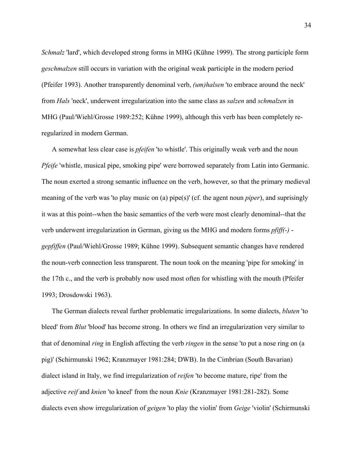*Schmalz* 'lard', which developed strong forms in MHG (Kühne 1999). The strong participle form *geschmalzen* still occurs in variation with the original weak participle in the modern period (Pfeifer 1993). Another transparently denominal verb, *(um)halsen* 'to embrace around the neck' from *Hals* 'neck', underwent irregularization into the same class as *salzen* and *schmalzen* in MHG (Paul/Wiehl/Grosse 1989:252; Kühne 1999), although this verb has been completely reregularized in modern German.

A somewhat less clear case is *pfeifen* 'to whistle'. This originally weak verb and the noun *Pfeife* 'whistle, musical pipe, smoking pipe' were borrowed separately from Latin into Germanic. The noun exerted a strong semantic influence on the verb, however, so that the primary medieval meaning of the verb was 'to play music on (a) pipe(s)' (cf. the agent noun *piper*), and suprisingly it was at this point--when the basic semantics of the verb were most clearly denominal--that the verb underwent irregularization in German, giving us the MHG and modern forms *pfiff(-) gepfiffen* (Paul/Wiehl/Grosse 1989; Kühne 1999). Subsequent semantic changes have rendered the noun-verb connection less transparent. The noun took on the meaning 'pipe for smoking' in the 17th c., and the verb is probably now used most often for whistling with the mouth (Pfeifer 1993; Drosdowski 1963).

The German dialects reveal further problematic irregularizations. In some dialects, *bluten* 'to bleed' from *Blut* 'blood' has become strong. In others we find an irregularization very similar to that of denominal *ring* in English affecting the verb *ringen* in the sense 'to put a nose ring on (a pig)' (Schirmunski 1962; Kranzmayer 1981:284; DWB). In the Cimbrian (South Bavarian) dialect island in Italy, we find irregularization of *reifen* 'to become mature, ripe' from the adjective *reif* and *knien* 'to kneel' from the noun *Knie* (Kranzmayer 1981:281-282). Some dialects even show irregularization of *geigen* 'to play the violin' from *Geige* 'violin' (Schirmunski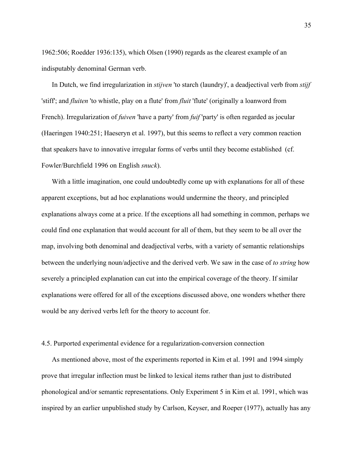1962:506; Roedder 1936:135), which Olsen (1990) regards as the clearest example of an indisputably denominal German verb.

In Dutch, we find irregularization in *stijven* 'to starch (laundry)', a deadjectival verb from *stijf* 'stiff'; and *fluiten* 'to whistle, play on a flute' from *fluit* 'flute' (originally a loanword from French). Irregularization of *fuiven* 'have a party' from *fuif* 'party' is often regarded as jocular (Haeringen 1940:251; Haeseryn et al. 1997), but this seems to reflect a very common reaction that speakers have to innovative irregular forms of verbs until they become established (cf. Fowler/Burchfield 1996 on English *snuck*).

With a little imagination, one could undoubtedly come up with explanations for all of these apparent exceptions, but ad hoc explanations would undermine the theory, and principled explanations always come at a price. If the exceptions all had something in common, perhaps we could find one explanation that would account for all of them, but they seem to be all over the map, involving both denominal and deadjectival verbs, with a variety of semantic relationships between the underlying noun/adjective and the derived verb. We saw in the case of *to string* how severely a principled explanation can cut into the empirical coverage of the theory. If similar explanations were offered for all of the exceptions discussed above, one wonders whether there would be any derived verbs left for the theory to account for.

## 4.5. Purported experimental evidence for a regularization-conversion connection

As mentioned above, most of the experiments reported in Kim et al. 1991 and 1994 simply prove that irregular inflection must be linked to lexical items rather than just to distributed phonological and/or semantic representations. Only Experiment 5 in Kim et al. 1991, which was inspired by an earlier unpublished study by Carlson, Keyser, and Roeper (1977), actually has any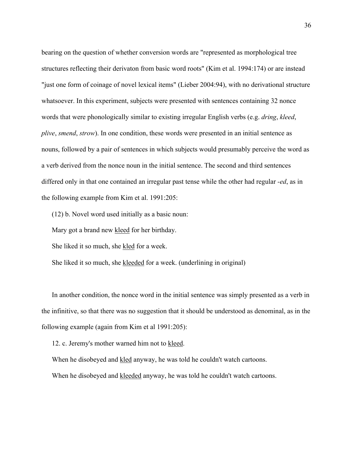bearing on the question of whether conversion words are "represented as morphological tree structures reflecting their derivaton from basic word roots" (Kim et al. 1994:174) or are instead "just one form of coinage of novel lexical items" (Lieber 2004:94), with no derivational structure whatsoever. In this experiment, subjects were presented with sentences containing 32 nonce words that were phonologically similar to existing irregular English verbs (e.g. *dring*, *kleed*, *plive*, *smend*, *strow*). In one condition, these words were presented in an initial sentence as nouns, followed by a pair of sentences in which subjects would presumably perceive the word as a verb derived from the nonce noun in the initial sentence. The second and third sentences differed only in that one contained an irregular past tense while the other had regular *-ed*, as in the following example from Kim et al. 1991:205:

(12) b. Novel word used initially as a basic noun:

Mary got a brand new kleed for her birthday.

She liked it so much, she kled for a week.

She liked it so much, she kleeded for a week. (underlining in original)

In another condition, the nonce word in the initial sentence was simply presented as a verb in the infinitive, so that there was no suggestion that it should be understood as denominal, as in the following example (again from Kim et al 1991:205):

12. c. Jeremy's mother warned him not to kleed.

When he disobeyed and kled anyway, he was told he couldn't watch cartoons.

When he disobeyed and kleeded anyway, he was told he couldn't watch cartoons.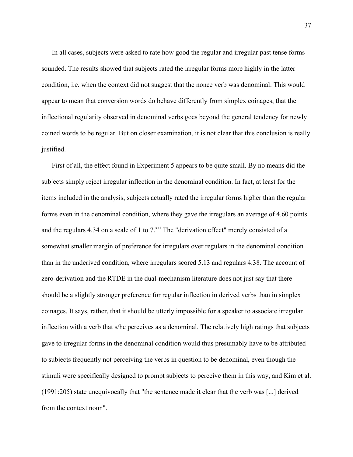In all cases, subjects were asked to rate how good the regular and irregular past tense forms sounded. The results showed that subjects rated the irregular forms more highly in the latter condition, i.e. when the context did not suggest that the nonce verb was denominal. This would appear to mean that conversion words do behave differently from simplex coinages, that the inflectional regularity observed in denominal verbs goes beyond the general tendency for newly coined words to be regular. But on closer examination, it is not clear that this conclusion is really justified.

First of all, the effect found in Experiment 5 appears to be quite small. By no means did the subjects simply reject irregular inflection in the denominal condition. In fact, at least for the items included in the analysis, subjects actually rated the irregular forms higher than the regular forms even in the denominal condition, where they gave the irregulars an average of 4.60 points and the regulars 4.34 on a scale of 1 to  $7<sup>xxi</sup>$  The "derivation effect" merely consisted of a somewhat smaller margin of preference for irregulars over regulars in the denominal condition than in the underived condition, where irregulars scored 5.13 and regulars 4.38. The account of zero-derivation and the RTDE in the dual-mechanism literature does not just say that there should be a slightly stronger preference for regular inflection in derived verbs than in simplex coinages. It says, rather, that it should be utterly impossible for a speaker to associate irregular inflection with a verb that s/he perceives as a denominal. The relatively high ratings that subjects gave to irregular forms in the denominal condition would thus presumably have to be attributed to subjects frequently not perceiving the verbs in question to be denominal, even though the stimuli were specifically designed to prompt subjects to perceive them in this way, and Kim et al. (1991:205) state unequivocally that "the sentence made it clear that the verb was [...] derived from the context noun".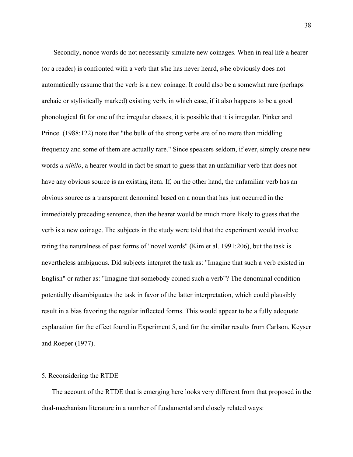Secondly, nonce words do not necessarily simulate new coinages. When in real life a hearer (or a reader) is confronted with a verb that s/he has never heard, s/he obviously does not automatically assume that the verb is a new coinage. It could also be a somewhat rare (perhaps archaic or stylistically marked) existing verb, in which case, if it also happens to be a good phonological fit for one of the irregular classes, it is possible that it is irregular. Pinker and Prince (1988:122) note that "the bulk of the strong verbs are of no more than middling frequency and some of them are actually rare." Since speakers seldom, if ever, simply create new words *a nihilo*, a hearer would in fact be smart to guess that an unfamiliar verb that does not have any obvious source is an existing item. If, on the other hand, the unfamiliar verb has an obvious source as a transparent denominal based on a noun that has just occurred in the immediately preceding sentence, then the hearer would be much more likely to guess that the verb is a new coinage. The subjects in the study were told that the experiment would involve rating the naturalness of past forms of "novel words" (Kim et al. 1991:206), but the task is nevertheless ambiguous. Did subjects interpret the task as: "Imagine that such a verb existed in English" or rather as: "Imagine that somebody coined such a verb"? The denominal condition potentially disambiguates the task in favor of the latter interpretation, which could plausibly result in a bias favoring the regular inflected forms. This would appear to be a fully adequate explanation for the effect found in Experiment 5, and for the similar results from Carlson, Keyser and Roeper (1977).

## 5. Reconsidering the RTDE

The account of the RTDE that is emerging here looks very different from that proposed in the dual-mechanism literature in a number of fundamental and closely related ways: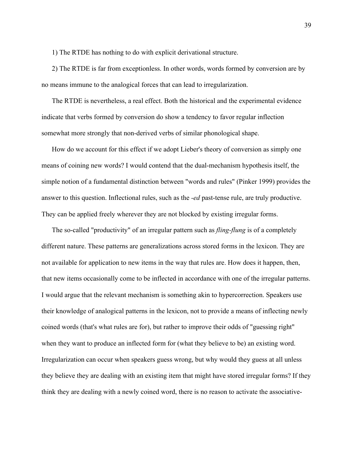1) The RTDE has nothing to do with explicit derivational structure.

2) The RTDE is far from exceptionless. In other words, words formed by conversion are by no means immune to the analogical forces that can lead to irregularization.

The RTDE is nevertheless, a real effect. Both the historical and the experimental evidence indicate that verbs formed by conversion do show a tendency to favor regular inflection somewhat more strongly that non-derived verbs of similar phonological shape.

How do we account for this effect if we adopt Lieber's theory of conversion as simply one means of coining new words? I would contend that the dual-mechanism hypothesis itself, the simple notion of a fundamental distinction between "words and rules" (Pinker 1999) provides the answer to this question. Inflectional rules, such as the *-ed* past-tense rule, are truly productive. They can be applied freely wherever they are not blocked by existing irregular forms.

The so-called "productivity" of an irregular pattern such as *fling-flung* is of a completely different nature. These patterns are generalizations across stored forms in the lexicon. They are not available for application to new items in the way that rules are. How does it happen, then, that new items occasionally come to be inflected in accordance with one of the irregular patterns. I would argue that the relevant mechanism is something akin to hypercorrection. Speakers use their knowledge of analogical patterns in the lexicon, not to provide a means of inflecting newly coined words (that's what rules are for), but rather to improve their odds of "guessing right" when they want to produce an inflected form for (what they believe to be) an existing word. Irregularization can occur when speakers guess wrong, but why would they guess at all unless they believe they are dealing with an existing item that might have stored irregular forms? If they think they are dealing with a newly coined word, there is no reason to activate the associative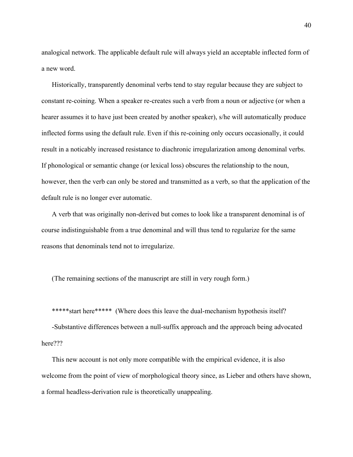analogical network. The applicable default rule will always yield an acceptable inflected form of a new word.

Historically, transparently denominal verbs tend to stay regular because they are subject to constant re-coining. When a speaker re-creates such a verb from a noun or adjective (or when a hearer assumes it to have just been created by another speaker), s/he will automatically produce inflected forms using the default rule. Even if this re-coining only occurs occasionally, it could result in a noticably increased resistance to diachronic irregularization among denominal verbs. If phonological or semantic change (or lexical loss) obscures the relationship to the noun, however, then the verb can only be stored and transmitted as a verb, so that the application of the default rule is no longer ever automatic.

A verb that was originally non-derived but comes to look like a transparent denominal is of course indistinguishable from a true denominal and will thus tend to regularize for the same reasons that denominals tend not to irregularize.

(The remaining sections of the manuscript are still in very rough form.)

\*\*\*\*\*start here\*\*\*\*\* (Where does this leave the dual-mechanism hypothesis itself?

-Substantive differences between a null-suffix approach and the approach being advocated here???

This new account is not only more compatible with the empirical evidence, it is also welcome from the point of view of morphological theory since, as Lieber and others have shown, a formal headless-derivation rule is theoretically unappealing.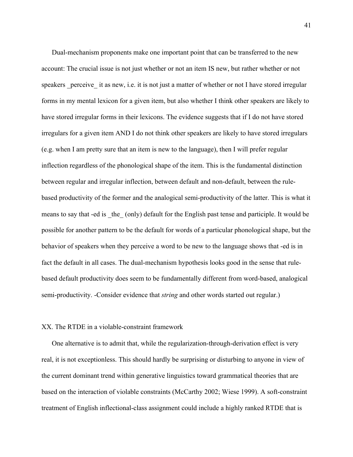Dual-mechanism proponents make one important point that can be transferred to the new account: The crucial issue is not just whether or not an item IS new, but rather whether or not speakers perceive it as new, i.e. it is not just a matter of whether or not I have stored irregular forms in my mental lexicon for a given item, but also whether I think other speakers are likely to have stored irregular forms in their lexicons. The evidence suggests that if I do not have stored irregulars for a given item AND I do not think other speakers are likely to have stored irregulars (e.g. when I am pretty sure that an item is new to the language), then I will prefer regular inflection regardless of the phonological shape of the item. This is the fundamental distinction between regular and irregular inflection, between default and non-default, between the rulebased productivity of the former and the analogical semi-productivity of the latter. This is what it means to say that -ed is the (only) default for the English past tense and participle. It would be possible for another pattern to be the default for words of a particular phonological shape, but the behavior of speakers when they perceive a word to be new to the language shows that -ed is in fact the default in all cases. The dual-mechanism hypothesis looks good in the sense that rulebased default productivity does seem to be fundamentally different from word-based, analogical semi-productivity. -Consider evidence that *string* and other words started out regular.)

## XX. The RTDE in a violable-constraint framework

One alternative is to admit that, while the regularization-through-derivation effect is very real, it is not exceptionless. This should hardly be surprising or disturbing to anyone in view of the current dominant trend within generative linguistics toward grammatical theories that are based on the interaction of violable constraints (McCarthy 2002; Wiese 1999). A soft-constraint treatment of English inflectional-class assignment could include a highly ranked RTDE that is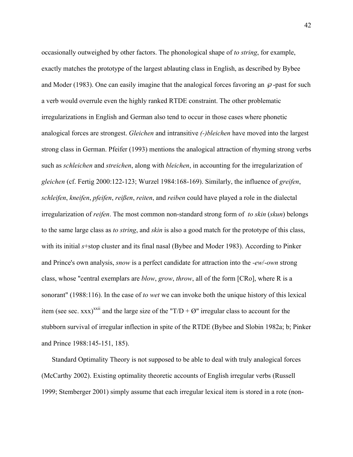occasionally outweighed by other factors. The phonological shape of *to string*, for example, exactly matches the prototype of the largest ablauting class in English, as described by Bybee and Moder (1983). One can easily imagine that the analogical forces favoring an  $\varphi$ -past for such a verb would overrule even the highly ranked RTDE constraint. The other problematic irregularizations in English and German also tend to occur in those cases where phonetic analogical forces are strongest. *Gleichen* and intransitive *(-)bleichen* have moved into the largest strong class in German. Pfeifer (1993) mentions the analogical attraction of rhyming strong verbs such as *schleichen* and *streichen*, along with *bleichen*, in accounting for the irregularization of *gleichen* (cf. Fertig 2000:122-123; Wurzel 1984:168-169). Similarly, the influence of *greifen*, *schleifen*, *kneifen*, *pfeifen*, *reißen*, *reiten*, and *reiben* could have played a role in the dialectal irregularization of *reifen*. The most common non-standard strong form of *to skin* (*skun*) belongs to the same large class as *to string*, and *skin* is also a good match for the prototype of this class, with its initial *s*+stop cluster and its final nasal (Bybee and Moder 1983). According to Pinker and Prince's own analysis, *snow* is a perfect candidate for attraction into the *-ew*/-*own* strong class, whose "central exemplars are *blow*, *grow*, *throw*, all of the form [CRo], where R is a sonorant" (1988:116). In the case of *to wet* we can invoke both the unique history of this lexical item (see sec. xxx)<sup>xxii</sup> and the large size of the "T/D +  $\varnothing$ " irregular class to account for the stubborn survival of irregular inflection in spite of the RTDE (Bybee and Slobin 1982a; b; Pinker and Prince 1988:145-151, 185).

Standard Optimality Theory is not supposed to be able to deal with truly analogical forces (McCarthy 2002). Existing optimality theoretic accounts of English irregular verbs (Russell 1999; Stemberger 2001) simply assume that each irregular lexical item is stored in a rote (non-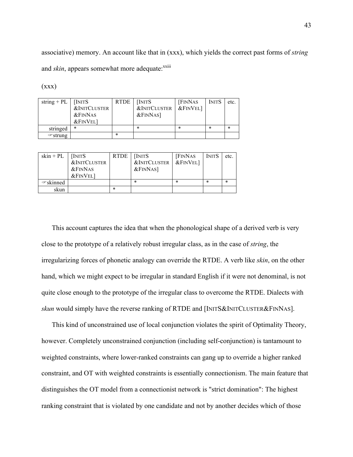associative) memory. An account like that in (xxx), which yields the correct past forms of *string* and *skin*, appears somewhat more adequate:<sup>xxiii</sup>

| string + PL $\vert$ | <b>INITS</b><br><b>&amp;INITCLUSTER</b><br>$&$ FINNAS<br><b>&amp;FINVEL1</b> | RTDE | [INITS]<br><b>&amp;INITCLUSTER</b><br>$&$ FINNAS] | <b>FINNAS</b><br>$&$ FINVEL] | <b>INITS</b> | etc.   |
|---------------------|------------------------------------------------------------------------------|------|---------------------------------------------------|------------------------------|--------------|--------|
| stringed            | *                                                                            |      | $\ast$                                            | *                            | *            | $\ast$ |
| $\in$ strung        |                                                                              | *    |                                                   |                              |              |        |

 $(xxx)$ 

| $skin + PL$   | <b>INITS</b><br><b>&amp;INITCLUSTER</b><br>$&$ FINNAS<br><b>&amp;FINVEL1</b> | <b>RTDE</b> | [INITS]<br><b>&amp;INITCLUSTER</b><br>$&$ FINNAS] | <b>FINNAS</b><br>&FINVEL] | <b>INITS</b> | etc.   |
|---------------|------------------------------------------------------------------------------|-------------|---------------------------------------------------|---------------------------|--------------|--------|
| $\in$ skinned |                                                                              |             | $\ast$                                            | *                         | *            | $\ast$ |
| skun          |                                                                              | $\ast$      |                                                   |                           |              |        |

This account captures the idea that when the phonological shape of a derived verb is very close to the prototype of a relatively robust irregular class, as in the case of *string*, the irregularizing forces of phonetic analogy can override the RTDE. A verb like *skin*, on the other hand, which we might expect to be irregular in standard English if it were not denominal, is not quite close enough to the prototype of the irregular class to overcome the RTDE. Dialects with *skun* would simply have the reverse ranking of RTDE and [INITS&INITCLUSTER&FINNAS].

This kind of unconstrained use of local conjunction violates the spirit of Optimality Theory, however. Completely unconstrained conjunction (including self-conjunction) is tantamount to weighted constraints, where lower-ranked constraints can gang up to override a higher ranked constraint, and OT with weighted constraints is essentially connectionism. The main feature that distinguishes the OT model from a connectionist network is "strict domination": The highest ranking constraint that is violated by one candidate and not by another decides which of those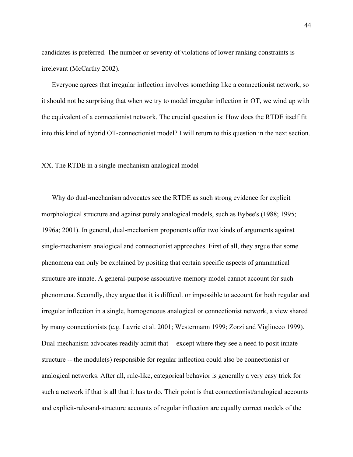candidates is preferred. The number or severity of violations of lower ranking constraints is irrelevant (McCarthy 2002).

Everyone agrees that irregular inflection involves something like a connectionist network, so it should not be surprising that when we try to model irregular inflection in OT, we wind up with the equivalent of a connectionist network. The crucial question is: How does the RTDE itself fit into this kind of hybrid OT-connectionist model? I will return to this question in the next section.

#### XX. The RTDE in a single-mechanism analogical model

Why do dual-mechanism advocates see the RTDE as such strong evidence for explicit morphological structure and against purely analogical models, such as Bybee's (1988; 1995; 1996a; 2001). In general, dual-mechanism proponents offer two kinds of arguments against single-mechanism analogical and connectionist approaches. First of all, they argue that some phenomena can only be explained by positing that certain specific aspects of grammatical structure are innate. A general-purpose associative-memory model cannot account for such phenomena. Secondly, they argue that it is difficult or impossible to account for both regular and irregular inflection in a single, homogeneous analogical or connectionist network, a view shared by many connectionists (e.g. Lavric et al. 2001; Westermann 1999; Zorzi and Vigliocco 1999). Dual-mechanism advocates readily admit that -- except where they see a need to posit innate structure -- the module(s) responsible for regular inflection could also be connectionist or analogical networks. After all, rule-like, categorical behavior is generally a very easy trick for such a network if that is all that it has to do. Their point is that connectionist/analogical accounts and explicit-rule-and-structure accounts of regular inflection are equally correct models of the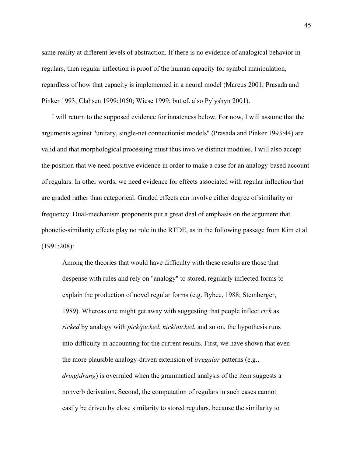same reality at different levels of abstraction. If there is no evidence of analogical behavior in regulars, then regular inflection is proof of the human capacity for symbol manipulation, regardless of how that capacity is implemented in a neural model (Marcus 2001; Prasada and Pinker 1993; Clahsen 1999:1050; Wiese 1999; but cf. also Pylyshyn 2001).

I will return to the supposed evidence for innateness below. For now, I will assume that the arguments against "unitary, single-net connectionist models" (Prasada and Pinker 1993:44) are valid and that morphological processing must thus involve distinct modules. I will also accept the position that we need positive evidence in order to make a case for an analogy-based account of regulars. In other words, we need evidence for effects associated with regular inflection that are graded rather than categorical. Graded effects can involve either degree of similarity or frequency. Dual-mechanism proponents put a great deal of emphasis on the argument that phonetic-similarity effects play no role in the RTDE, as in the following passage from Kim et al. (1991:208):

Among the theories that would have difficulty with these results are those that despense with rules and rely on "analogy" to stored, regularly inflected forms to explain the production of novel regular forms (e.g. Bybee, 1988; Stemberger, 1989). Whereas one might get away with suggesting that people inflect *rick* as *ricked* by analogy with *pick/picked*, *nick*/*nicked*, and so on, the hypothesis runs into difficulty in accounting for the current results. First, we have shown that even the more plausible analogy-driven extension of *irregular* patterns (e.g., *dring*/*drang*) is overruled when the grammatical analysis of the item suggests a nonverb derivation. Second, the computation of regulars in such cases cannot easily be driven by close similarity to stored regulars, because the similarity to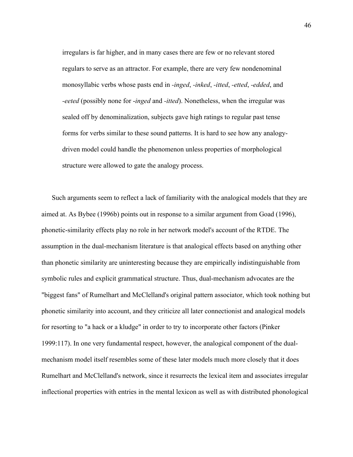irregulars is far higher, and in many cases there are few or no relevant stored regulars to serve as an attractor. For example, there are very few nondenominal monosyllabic verbs whose pasts end in *-inged*, *-inked*, *-itted*, *-etted*, *-edded*, and *-eeted* (possibly none for -*inged* and *-itted*). Nonetheless, when the irregular was sealed off by denominalization, subjects gave high ratings to regular past tense forms for verbs similar to these sound patterns. It is hard to see how any analogydriven model could handle the phenomenon unless properties of morphological structure were allowed to gate the analogy process.

Such arguments seem to reflect a lack of familiarity with the analogical models that they are aimed at. As Bybee (1996b) points out in response to a similar argument from Goad (1996), phonetic-similarity effects play no role in her network model's account of the RTDE. The assumption in the dual-mechanism literature is that analogical effects based on anything other than phonetic similarity are uninteresting because they are empirically indistinguishable from symbolic rules and explicit grammatical structure. Thus, dual-mechanism advocates are the "biggest fans" of Rumelhart and McClelland's original pattern associator, which took nothing but phonetic similarity into account, and they criticize all later connectionist and analogical models for resorting to "a hack or a kludge" in order to try to incorporate other factors (Pinker 1999:117). In one very fundamental respect, however, the analogical component of the dualmechanism model itself resembles some of these later models much more closely that it does Rumelhart and McClelland's network, since it resurrects the lexical item and associates irregular inflectional properties with entries in the mental lexicon as well as with distributed phonological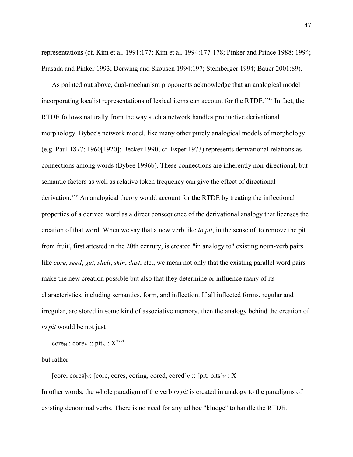representations (cf. Kim et al. 1991:177; Kim et al. 1994:177-178; Pinker and Prince 1988; 1994; Prasada and Pinker 1993; Derwing and Skousen 1994:197; Stemberger 1994; Bauer 2001:89).

As pointed out above, dual-mechanism proponents acknowledge that an analogical model incorporating localist representations of lexical items can account for the RTDE.<sup>xxiv</sup> In fact, the RTDE follows naturally from the way such a network handles productive derivational morphology. Bybee's network model, like many other purely analogical models of morphology (e.g. Paul 1877; 1960[1920]; Becker 1990; cf. Esper 1973) represents derivational relations as connections among words (Bybee 1996b). These connections are inherently non-directional, but semantic factors as well as relative token frequency can give the effect of directional derivation.<sup>xxv</sup> An analogical theory would account for the RTDE by treating the inflectional properties of a derived word as a direct consequence of the derivational analogy that licenses the creation of that word. When we say that a new verb like *to pit*, in the sense of 'to remove the pit from fruit', first attested in the 20th century, is created "in analogy to" existing noun-verb pairs like *core*, *seed*, *gut*, *shell*, *skin*, *dust*, etc., we mean not only that the existing parallel word pairs make the new creation possible but also that they determine or influence many of its characteristics, including semantics, form, and inflection. If all inflected forms, regular and irregular, are stored in some kind of associative memory, then the analogy behind the creation of *to pit* would be not just

 $core_N : core_V :: \text{pit}_N : X^{xxvi}$ 

but rather

[core, cores]<sub>N</sub>: [core, cores, coring, cored, cored]<sub>V</sub> :: [pit, pits]<sub>N</sub> : X In other words, the whole paradigm of the verb *to pit* is created in analogy to the paradigms of existing denominal verbs. There is no need for any ad hoc "kludge" to handle the RTDE.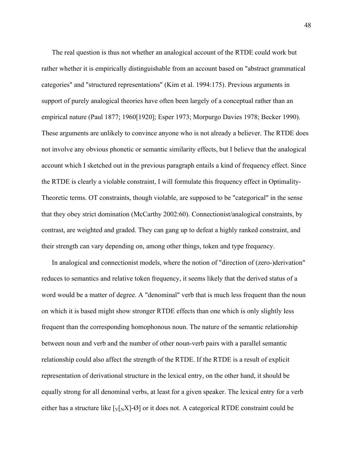The real question is thus not whether an analogical account of the RTDE could work but rather whether it is empirically distinguishable from an account based on "abstract grammatical categories" and "structured representations" (Kim et al. 1994:175). Previous arguments in support of purely analogical theories have often been largely of a conceptual rather than an empirical nature (Paul 1877; 1960[1920]; Esper 1973; Morpurgo Davies 1978; Becker 1990). These arguments are unlikely to convince anyone who is not already a believer. The RTDE does not involve any obvious phonetic or semantic similarity effects, but I believe that the analogical account which I sketched out in the previous paragraph entails a kind of frequency effect. Since the RTDE is clearly a violable constraint, I will formulate this frequency effect in Optimality-Theoretic terms. OT constraints, though violable, are supposed to be "categorical" in the sense that they obey strict domination (McCarthy 2002:60). Connectionist/analogical constraints, by contrast, are weighted and graded. They can gang up to defeat a highly ranked constraint, and their strength can vary depending on, among other things, token and type frequency.

In analogical and connectionist models, where the notion of "direction of (zero-)derivation" reduces to semantics and relative token frequency, it seems likely that the derived status of a word would be a matter of degree. A "denominal" verb that is much less frequent than the noun on which it is based might show stronger RTDE effects than one which is only slightly less frequent than the corresponding homophonous noun. The nature of the semantic relationship between noun and verb and the number of other noun-verb pairs with a parallel semantic relationship could also affect the strength of the RTDE. If the RTDE is a result of explicit representation of derivational structure in the lexical entry, on the other hand, it should be equally strong for all denominal verbs, at least for a given speaker. The lexical entry for a verb either has a structure like  $[v_N] - \emptyset$  or it does not. A categorical RTDE constraint could be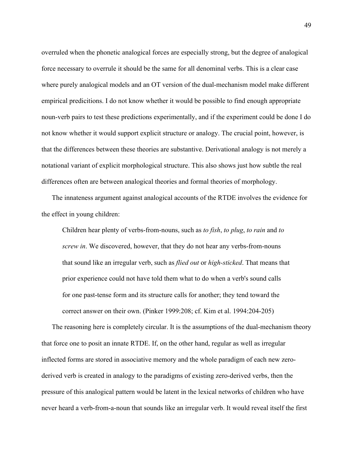overruled when the phonetic analogical forces are especially strong, but the degree of analogical force necessary to overrule it should be the same for all denominal verbs. This is a clear case where purely analogical models and an OT version of the dual-mechanism model make different empirical predicitions. I do not know whether it would be possible to find enough appropriate noun-verb pairs to test these predictions experimentally, and if the experiment could be done I do not know whether it would support explicit structure or analogy. The crucial point, however, is that the differences between these theories are substantive. Derivational analogy is not merely a notational variant of explicit morphological structure. This also shows just how subtle the real differences often are between analogical theories and formal theories of morphology.

The innateness argument against analogical accounts of the RTDE involves the evidence for the effect in young children:

Children hear plenty of verbs-from-nouns, such as *to fish*, *to plug*, *to rain* and *to screw in*. We discovered, however, that they do not hear any verbs-from-nouns that sound like an irregular verb, such as *flied out* or *high-sticked*. That means that prior experience could not have told them what to do when a verb's sound calls for one past-tense form and its structure calls for another; they tend toward the correct answer on their own. (Pinker 1999:208; cf. Kim et al. 1994:204-205)

The reasoning here is completely circular. It is the assumptions of the dual-mechanism theory that force one to posit an innate RTDE. If, on the other hand, regular as well as irregular inflected forms are stored in associative memory and the whole paradigm of each new zeroderived verb is created in analogy to the paradigms of existing zero-derived verbs, then the pressure of this analogical pattern would be latent in the lexical networks of children who have never heard a verb-from-a-noun that sounds like an irregular verb. It would reveal itself the first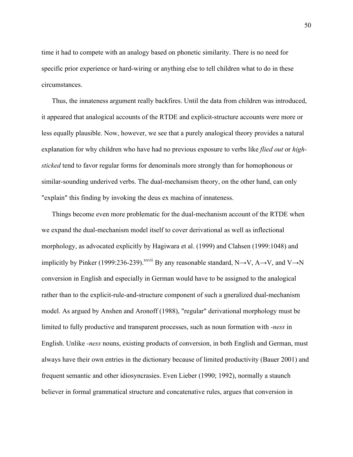time it had to compete with an analogy based on phonetic similarity. There is no need for specific prior experience or hard-wiring or anything else to tell children what to do in these circumstances.

Thus, the innateness argument really backfires. Until the data from children was introduced, it appeared that analogical accounts of the RTDE and explicit-structure accounts were more or less equally plausible. Now, however, we see that a purely analogical theory provides a natural explanation for why children who have had no previous exposure to verbs like *flied out* or *highsticked* tend to favor regular forms for denominals more strongly than for homophonous or similar-sounding underived verbs. The dual-mechansism theory, on the other hand, can only "explain" this finding by invoking the deus ex machina of innateness.

Things become even more problematic for the dual-mechanism account of the RTDE when we expand the dual-mechanism model itself to cover derivational as well as inflectional morphology, as advocated explicitly by Hagiwara et al. (1999) and Clahsen (1999:1048) and implicitly by Pinker (1999:236-239).<sup>xxvii</sup> By any reasonable standard, N $\rightarrow$ V, A $\rightarrow$ V, and V $\rightarrow$ N conversion in English and especially in German would have to be assigned to the analogical rather than to the explicit-rule-and-structure component of such a gneralized dual-mechanism model. As argued by Anshen and Aronoff (1988), "regular" derivational morphology must be limited to fully productive and transparent processes, such as noun formation with *-ness* in English. Unlike *-ness* nouns, existing products of conversion, in both English and German, must always have their own entries in the dictionary because of limited productivity (Bauer 2001) and frequent semantic and other idiosyncrasies. Even Lieber (1990; 1992), normally a staunch believer in formal grammatical structure and concatenative rules, argues that conversion in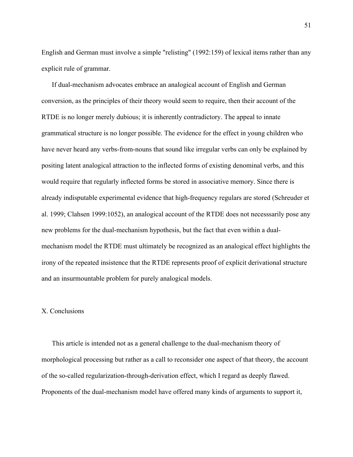English and German must involve a simple "relisting" (1992:159) of lexical items rather than any explicit rule of grammar.

If dual-mechanism advocates embrace an analogical account of English and German conversion, as the principles of their theory would seem to require, then their account of the RTDE is no longer merely dubious; it is inherently contradictory. The appeal to innate grammatical structure is no longer possible. The evidence for the effect in young children who have never heard any verbs-from-nouns that sound like irregular verbs can only be explained by positing latent analogical attraction to the inflected forms of existing denominal verbs, and this would require that regularly inflected forms be stored in associative memory. Since there is already indisputable experimental evidence that high-frequency regulars are stored (Schreuder et al. 1999; Clahsen 1999:1052), an analogical account of the RTDE does not necesssarily pose any new problems for the dual-mechanism hypothesis, but the fact that even within a dualmechanism model the RTDE must ultimately be recognized as an analogical effect highlights the irony of the repeated insistence that the RTDE represents proof of explicit derivational structure and an insurmountable problem for purely analogical models.

# X. Conclusions

This article is intended not as a general challenge to the dual-mechanism theory of morphological processing but rather as a call to reconsider one aspect of that theory, the account of the so-called regularization-through-derivation effect, which I regard as deeply flawed. Proponents of the dual-mechanism model have offered many kinds of arguments to support it,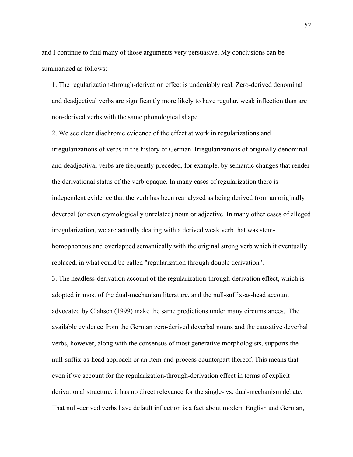and I continue to find many of those arguments very persuasive. My conclusions can be summarized as follows:

1. The regularization-through-derivation effect is undeniably real. Zero-derived denominal and deadjectival verbs are significantly more likely to have regular, weak inflection than are non-derived verbs with the same phonological shape.

2. We see clear diachronic evidence of the effect at work in regularizations and irregularizations of verbs in the history of German. Irregularizations of originally denominal and deadjectival verbs are frequently preceded, for example, by semantic changes that render the derivational status of the verb opaque. In many cases of regularization there is independent evidence that the verb has been reanalyzed as being derived from an originally deverbal (or even etymologically unrelated) noun or adjective. In many other cases of alleged irregularization, we are actually dealing with a derived weak verb that was stemhomophonous and overlapped semantically with the original strong verb which it eventually replaced, in what could be called "regularization through double derivation".

3. The headless-derivation account of the regularization-through-derivation effect, which is adopted in most of the dual-mechanism literature, and the null-suffix-as-head account advocated by Clahsen (1999) make the same predictions under many circumstances. The available evidence from the German zero-derived deverbal nouns and the causative deverbal verbs, however, along with the consensus of most generative morphologists, supports the null-suffix-as-head approach or an item-and-process counterpart thereof. This means that even if we account for the regularization-through-derivation effect in terms of explicit derivational structure, it has no direct relevance for the single- vs. dual-mechanism debate. That null-derived verbs have default inflection is a fact about modern English and German,

52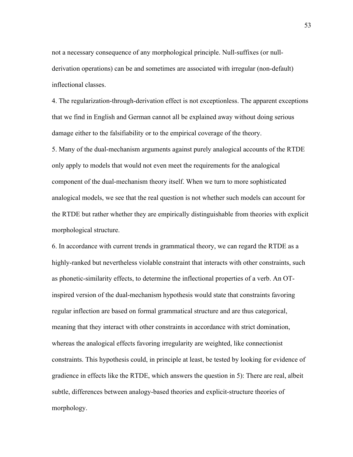not a necessary consequence of any morphological principle. Null-suffixes (or nullderivation operations) can be and sometimes are associated with irregular (non-default) inflectional classes.

4. The regularization-through-derivation effect is not exceptionless. The apparent exceptions that we find in English and German cannot all be explained away without doing serious damage either to the falsifiability or to the empirical coverage of the theory.

5. Many of the dual-mechanism arguments against purely analogical accounts of the RTDE only apply to models that would not even meet the requirements for the analogical component of the dual-mechanism theory itself. When we turn to more sophisticated analogical models, we see that the real question is not whether such models can account for the RTDE but rather whether they are empirically distinguishable from theories with explicit morphological structure.

6. In accordance with current trends in grammatical theory, we can regard the RTDE as a highly-ranked but nevertheless violable constraint that interacts with other constraints, such as phonetic-similarity effects, to determine the inflectional properties of a verb. An OTinspired version of the dual-mechanism hypothesis would state that constraints favoring regular inflection are based on formal grammatical structure and are thus categorical, meaning that they interact with other constraints in accordance with strict domination, whereas the analogical effects favoring irregularity are weighted, like connectionist constraints. This hypothesis could, in principle at least, be tested by looking for evidence of gradience in effects like the RTDE, which answers the question in 5): There are real, albeit subtle, differences between analogy-based theories and explicit-structure theories of morphology.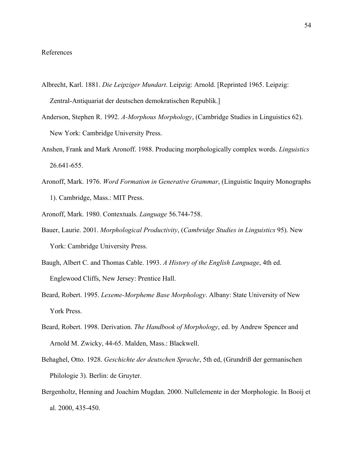## References

- Albrecht, Karl. 1881. *Die Leipziger Mundart*. Leipzig: Arnold. [Reprinted 1965. Leipzig: Zentral-Antiquariat der deutschen demokratischen Republik.]
- Anderson, Stephen R. 1992. *A-Morphous Morphology*, (Cambridge Studies in Linguistics 62). New York: Cambridge University Press.
- Anshen, Frank and Mark Aronoff. 1988. Producing morphologically complex words. *Linguistics* 26.641-655.
- Aronoff, Mark. 1976. *Word Formation in Generative Grammar*, (Linguistic Inquiry Monographs 1). Cambridge, Mass.: MIT Press.
- Aronoff, Mark. 1980. Contextuals. *Language* 56.744-758.
- Bauer, Laurie. 2001. *Morphological Productivity*, (*Cambridge Studies in Linguistics* 95). New York: Cambridge University Press.
- Baugh, Albert C. and Thomas Cable. 1993. *A History of the English Language*, 4th ed. Englewood Cliffs, New Jersey: Prentice Hall.
- Beard, Robert. 1995. *Lexeme-Morpheme Base Morphology*. Albany: State University of New York Press.
- Beard, Robert. 1998. Derivation. *The Handbook of Morphology*, ed. by Andrew Spencer and Arnold M. Zwicky, 44-65. Malden, Mass.: Blackwell.
- Behaghel, Otto. 1928. *Geschichte der deutschen Sprache*, 5th ed, (Grundriß der germanischen Philologie 3). Berlin: de Gruyter.
- Bergenholtz, Henning and Joachim Mugdan. 2000. Nullelemente in der Morphologie. In Booij et al. 2000, 435-450.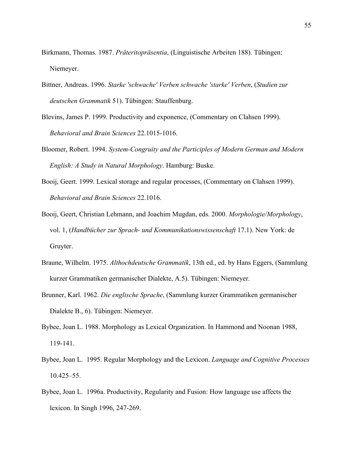- Birkmann, Thomas. 1987. *Präteritopräsentia*, (Linguistische Arbeiten 188). Tübingen: Niemeyer.
- Bittner, Andreas. 1996. *Starke 'schwache' Verben schwache 'starke' Verben*, (*Studien zur deutschen Grammatik* 51). Tübingen: Stauffenburg.
- Blevins, James P. 1999. Productivity and exponence, (Commentary on Clahsen 1999). *Behavioral and Brain Sciences* 22.1015-1016.
- Bloomer, Robert. 1994. *System-Congruity and the Participles of Modern German and Modern English: A Study in Natural Morphology*. Hamburg: Buske.
- Booij, Geert. 1999. Lexical storage and regular processes, (Commentary on Clahsen 1999). *Behavioral and Brain Sciences* 22.1016.
- Booij, Geert, Christian Lehmann, and Joachim Mugdan, eds. 2000. *Morphologie/Morphology*, vol. 1, (*Handbücher zur Sprach- und Kommunikationswissenschaft* 17.1). New York: de Gruyter.
- Braune, Wilhelm. 1975. *Althochdeutsche Grammatik*, 13th ed., ed. by Hans Eggers, (Sammlung kurzer Grammatiken germanischer Dialekte, A.5). Tübingen: Niemeyer.
- Brunner, Karl. 1962. *Die englische Sprache*, (Sammlung kurzer Grammatiken germanischer Dialekte B., 6). Tübingen: Niemeyer.
- Bybee, Joan L. 1988. Morphology as Lexical Organization. In Hammond and Noonan 1988, 119-141.
- Bybee, Joan L. 1995. Regular Morphology and the Lexicon. *Language and Cognitive Processes* 10.425–55.
- Bybee, Joan L. 1996a. Productivity, Regularity and Fusion: How language use affects the lexicon. In Singh 1996, 247-269.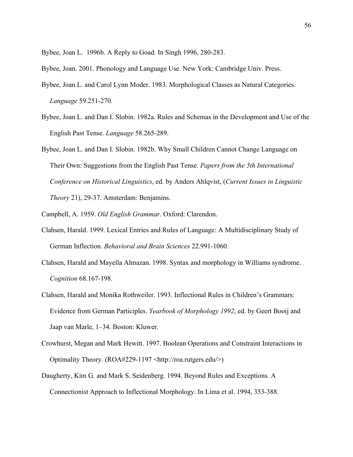Bybee, Joan L. 1996b. A Reply to Goad. In Singh 1996, 280-283.

Bybee, Joan. 2001. Phonology and Language Use. New York: Cambridge Univ. Press.

- Bybee, Joan L. and Carol Lynn Moder. 1983. Morphological Classes as Natural Categories. *Language* 59.251-270.
- Bybee, Joan L. and Dan I. Slobin. 1982a. Rules and Schemas in the Development and Use of the English Past Tense. *Language* 58.265-289.
- Bybee, Joan L. and Dan I. Slobin. 1982b. Why Small Children Cannot Change Language on Their Own: Suggestions from the English Past Tense. *Papers from the 5th International Conference on Historical Linguistics*, ed. by Anders Ahlqvist, (*Current Issues in Linguistic Theory* 21), 29-37. Amsterdam: Benjamins.
- Campbell, A. 1959. *Old English Grammar*. Oxford: Clarendon.
- Clahsen, Harald. 1999. Lexical Entries and Rules of Language: A Multidisciplinary Study of German Inflection. *Behavioral and Brain Sciences* 22.991-1060.
- Clahsen, Harald and Mayella Almazan. 1998. Syntax and morphology in Williams syndrome. *Cognition* 68.167-198.
- Clahsen, Harald and Monika Rothweiler. 1993. Inflectional Rules in Children's Grammars: Evidence from German Participles. *Yearbook of Morphology 1992*, ed. by Geert Booij and Jaap van Marle, 1–34. Boston: Kluwer.
- Crowhurst, Megan and Mark Hewitt. 1997. Boolean Operations and Constraint Interactions in Optimality Theory. (ROA#229-1197 <http://roa.rutgers.edu/>)
- Daugherty, Kim G. and Mark S. Seidenberg. 1994. Beyond Rules and Exceptions. A Connectionist Approach to Inflectional Morphology. In Lima et al. 1994, 353-388.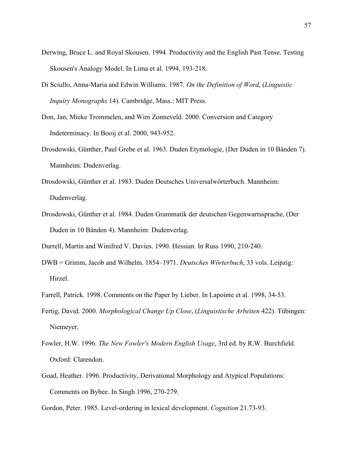- Derwing, Bruce L. and Royal Skousen. 1994. Productivity and the English Past Tense. Testing Skousen's Analogy Model. In Lima et al. 1994, 193-218.
- Di Sciullo, Anna-Maria and Edwin Williams. 1987. *On the Definition of Word*, (*Linguistic Inquiry Monographs* 14). Cambridge, Mass.: MIT Press.
- Don, Jan, Mieke Trommelen, and Wim Zonneveld. 2000. Conversion and Category Indeterminacy. In Booij et al. 2000, 943-952.
- Drosdowski, Günther, Paul Grebe et al. 1963. Duden Etymologie, (Der Duden in 10 Bänden 7). Mannheim: Dudenverlag.
- Drosdowski, Günther et al. 1983. Duden Deutsches Universalwörterbuch. Mannheim: Dudenverlag.
- Drosdowski, Günther et al. 1984. Duden Grammatik der deutschen Gegenwartssprache, (Der Duden in 10 Bänden 4). Mannheim: Dudenverlag.

Durrell, Martin and Winifred V. Davies. 1990. Hessian. In Russ 1990, 210-240.

- DWB = Grimm, Jacob and Wilhelm. 1854–1971. *Deutsches Wörterbuch*, 33 vols. Leipzig: Hirzel.
- Farrell, Patrick. 1998. Comments on the Paper by Lieber. In Lapointe et al. 1998, 34-53.
- Fertig, David. 2000. *Morphological Change Up Close*, (*Linguistische Arbeiten* 422). Tübingen: Niemeyer.
- Fowler, H.W. 1996. *The New Fowler's Modern English Usage*, 3rd ed. by R.W. Burchfield. Oxford: Clarendon.
- Goad, Heather. 1996. Productivity, Derivational Morphology and Atypical Populations: Comments on Bybee. In Singh 1996, 270-279.

Gordon, Peter. 1985. Level-ordering in lexical development. *Cognition* 21.73-93.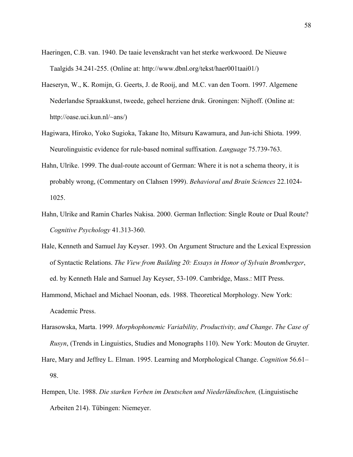- Haeringen, C.B. van. 1940. De taaie levenskracht van het sterke werkwoord. De Nieuwe Taalgids 34.241-255. (Online at: http://www.dbnl.org/tekst/haer001taai01/)
- Haeseryn, W., K. Romijn, G. Geerts, J. de Rooij, and M.C. van den Toorn. 1997. Algemene Nederlandse Spraakkunst, tweede, geheel herziene druk. Groningen: Nijhoff. (Online at: http://oase.uci.kun.nl/~ans/)
- Hagiwara, Hiroko, Yoko Sugioka, Takane Ito, Mitsuru Kawamura, and Jun-ichi Shiota. 1999. Neurolinguistic evidence for rule-based nominal suffixation. *Language* 75.739-763.
- Hahn, Ulrike. 1999. The dual-route account of German: Where it is not a schema theory, it is probably wrong, (Commentary on Clahsen 1999). *Behavioral and Brain Sciences* 22.1024- 1025.
- Hahn, Ulrike and Ramin Charles Nakisa. 2000. German Inflection: Single Route or Dual Route? *Cognitive Psychology* 41.313-360.
- Hale, Kenneth and Samuel Jay Keyser. 1993. On Argument Structure and the Lexical Expression of Syntactic Relations. *The View from Building 20: Essays in Honor of Sylvain Bromberger*, ed. by Kenneth Hale and Samuel Jay Keyser, 53-109. Cambridge, Mass.: MIT Press.
- Hammond, Michael and Michael Noonan, eds. 1988. Theoretical Morphology. New York: Academic Press.
- Harasowska, Marta. 1999. *Morphophonemic Variability, Productivity, and Change*. *The Case of Rusyn*, (Trends in Linguistics, Studies and Monographs 110). New York: Mouton de Gruyter.
- Hare, Mary and Jeffrey L. Elman. 1995. Learning and Morphological Change. *Cognition* 56.61– 98.
- Hempen, Ute. 1988. *Die starken Verben im Deutschen und Niederländischen,* (Linguistische Arbeiten 214). Tübingen: Niemeyer.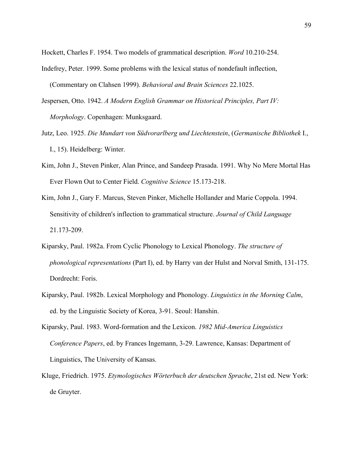Hockett, Charles F. 1954. Two models of grammatical description. *Word* 10.210-254.

- Indefrey, Peter. 1999. Some problems with the lexical status of nondefault inflection, (Commentary on Clahsen 1999). *Behavioral and Brain Sciences* 22.1025.
- Jespersen, Otto. 1942. *A Modern English Grammar on Historical Principles, Part IV: Morphology*. Copenhagen: Munksgaard.
- Jutz, Leo. 1925. *Die Mundart von Südvorarlberg und Liechtenstein*, (*Germanische Bibliothek* I., I., 15). Heidelberg: Winter.
- Kim, John J., Steven Pinker, Alan Prince, and Sandeep Prasada. 1991. Why No Mere Mortal Has Ever Flown Out to Center Field. *Cognitive Science* 15.173-218.
- Kim, John J., Gary F. Marcus, Steven Pinker, Michelle Hollander and Marie Coppola. 1994. Sensitivity of children's inflection to grammatical structure. *Journal of Child Language* 21.173-209.
- Kiparsky, Paul. 1982a. From Cyclic Phonology to Lexical Phonology. *The structure of phonological representations* (Part I), ed. by Harry van der Hulst and Norval Smith, 131-175. Dordrecht: Foris.
- Kiparsky, Paul. 1982b. Lexical Morphology and Phonology. *Linguistics in the Morning Calm*, ed. by the Linguistic Society of Korea, 3-91. Seoul: Hanshin.
- Kiparsky, Paul. 1983. Word-formation and the Lexicon. *1982 Mid-America Linguistics Conference Papers*, ed. by Frances Ingemann, 3-29. Lawrence, Kansas: Department of Linguistics, The University of Kansas.
- Kluge, Friedrich. 1975. *Etymologisches Wörterbuch der deutschen Sprache*, 21st ed. New York: de Gruyter.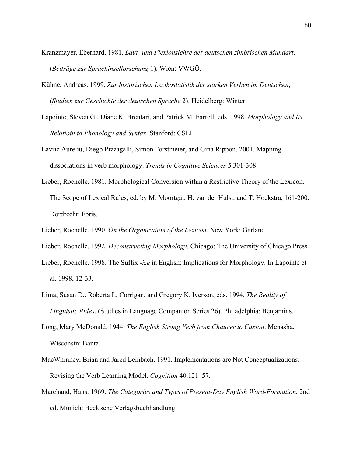- Kranzmayer, Eberhard. 1981. *Laut- und Flexionslehre der deutschen zimbrischen Mundart*, (*Beiträge zur Sprachinselforschung* 1). Wien: VWGÖ.
- Kühne, Andreas. 1999. *Zur historischen Lexikostatistik der starken Verben im Deutschen*, (*Studien zur Geschichte der deutschen Sprache* 2). Heidelberg: Winter.
- Lapointe, Steven G., Diane K. Brentari, and Patrick M. Farrell, eds. 1998. *Morphology and Its Relatioin to Phonology and Syntax*. Stanford: CSLI.
- Lavric Aureliu, Diego Pizzagalli, Simon Forstmeier, and Gina Rippon. 2001. Mapping dissociations in verb morphology. *Trends in Cognitive Sciences* 5.301-308.
- Lieber, Rochelle. 1981. Morphological Conversion within a Restrictive Theory of the Lexicon. The Scope of Lexical Rules, ed. by M. Moortgat, H. van der Hulst, and T. Hoekstra, 161-200. Dordrecht: Foris.
- Lieber, Rochelle. 1990. *On the Organization of the Lexicon*. New York: Garland.
- Lieber, Rochelle. 1992. *Deconstructing Morphology*. Chicago: The University of Chicago Press.
- Lieber, Rochelle. 1998. The Suffix *-ize* in English: Implications for Morphology. In Lapointe et al. 1998, 12-33.
- Lima, Susan D., Roberta L. Corrigan, and Gregory K. Iverson, eds. 1994. *The Reality of Linguistic Rules*, (Studies in Language Companion Series 26). Philadelphia: Benjamins.
- Long, Mary McDonald. 1944. *The English Strong Verb from Chaucer to Caxton*. Menasha, Wisconsin: Banta.
- MacWhinney, Brian and Jared Leinbach. 1991. Implementations are Not Conceptualizations: Revising the Verb Learning Model. *Cognition* 40.121–57.
- Marchand, Hans. 1969. *The Categories and Types of Present-Day English Word-Formation*, 2nd ed. Munich: Beck'sche Verlagsbuchhandlung.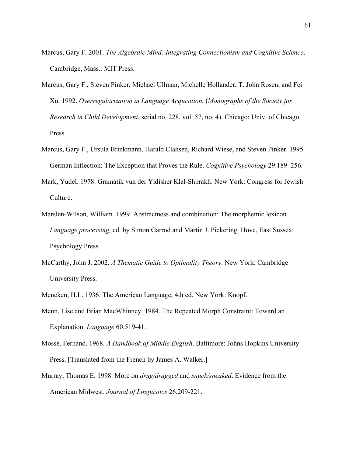- Marcus, Gary F. 2001. *The Algebraic Mind: Integrating Connectionism and Cognitive Science*. Cambridge, Mass.: MIT Press.
- Marcus, Gary F., Steven Pinker, Michael Ullman, Michelle Hollander, T. John Rosen, and Fei Xu. 1992. *Overregularization in Language Acquisition*, (*Monographs of the Society for Research in Child Development*, serial no. 228, vol. 57, no. 4). Chicago: Univ. of Chicago Press.
- Marcus, Gary F., Ursula Brinkmann, Harald Clahsen, Richard Wiese, and Steven Pinker. 1995. German Inflection: The Exception that Proves the Rule. *Cognitive Psychology* 29.189–256.
- Mark, Yudel. 1978. Gramatik vun der Yidisher Klal-Shprakh. New York: Congress for Jewish Culture.
- Marslen-Wilson, William. 1999. Abstractness and combination: The morphemic lexicon. *Language processing*, ed. by Simon Garrod and Martin J. Pickering. Hove, East Sussex: Psychology Press.
- McCarthy, John J. 2002. *A Thematic Guide to Optimality Theory*. New York: Cambridge University Press.
- Mencken, H.L. 1936. The American Language, 4th ed. New York: Knopf.
- Menn, Lise and Brian MacWhinney. 1984. The Repeated Morph Constraint: Toward an Explanation. *Language* 60.519-41.
- Mossé, Fernand. 1968. *A Handbook of Middle English*. Baltimore: Johns Hopkins University Press. [Translated from the French by James A. Walker.]
- Murray, Thomas E. 1998. More on *drug/dragged* and *snuck/sneaked*. Evidence from the American Midwest. *Journal of Linguistics* 26.209-221.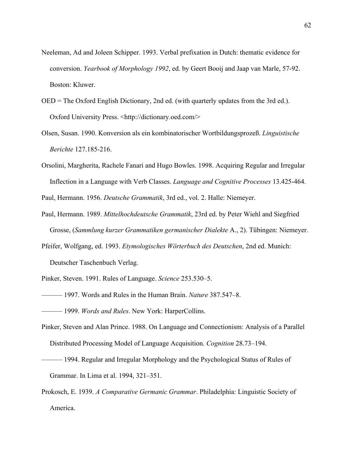- Neeleman, Ad and Joleen Schipper. 1993. Verbal prefixation in Dutch: thematic evidence for conversion. *Yearbook of Morphology 1992*, ed. by Geert Booij and Jaap van Marle, 57-92. Boston: Kluwer.
- OED = The Oxford English Dictionary, 2nd ed. (with quarterly updates from the 3rd ed.). Oxford University Press. <http://dictionary.oed.com/>
- Olsen, Susan. 1990. Konversion als ein kombinatorischer Wortbildungsprozeß. *Linguistische Berichte* 127.185-216.
- Orsolini, Margherita, Rachele Fanari and Hugo Bowles. 1998. Acquiring Regular and Irregular Inflection in a Language with Verb Classes. *Language and Cognitive Processes* 13.425-464.

Paul, Hermann. 1956. *Deutsche Grammatik*, 3rd ed., vol. 2. Halle: Niemeyer.

- Paul, Hermann. 1989. *Mittelhochdeutsche Grammatik*, 23rd ed. by Peter Wiehl and Siegfried Grosse, (*Sammlung kurzer Grammatiken germanischer Dialekte* A., 2). Tübingen: Niemeyer.
- Pfeifer, Wolfgang, ed. 1993. *Etymologisches Wörterbuch des Deutschen*, 2nd ed. Munich: Deutscher Taschenbuch Verlag.

Pinker, Steven. 1991. Rules of Language. *Science* 253.530–5.

- ——— 1997. Words and Rules in the Human Brain. *Nature* 387.547–8.
- ——— 1999. *Words and Rules*. New York: HarperCollins.
- Pinker, Steven and Alan Prince. 1988. On Language and Connectionism: Analysis of a Parallel Distributed Processing Model of Language Acquisition. *Cognition* 28.73–194.
- ——— 1994. Regular and Irregular Morphology and the Psychological Status of Rules of Grammar. In Lima et al. 1994, 321–351.
- Prokosch, E. 1939. *A Comparative Germanic Grammar*. Philadelphia: Linguistic Society of America.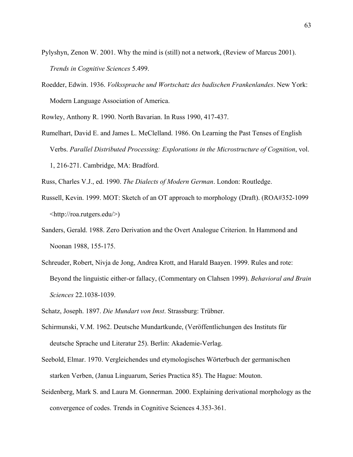Pylyshyn, Zenon W. 2001. Why the mind is (still) not a network, (Review of Marcus 2001). *Trends in Cognitive Sciences* 5.499.

Roedder, Edwin. 1936. *Volkssprache und Wortschatz des badischen Frankenlandes*. New York: Modern Language Association of America.

Rowley, Anthony R. 1990. North Bavarian. In Russ 1990, 417-437.

Rumelhart, David E. and James L. MeClelland. 1986. On Learning the Past Tenses of English Verbs. *Parallel Distributed Processing: Explorations in the Microstructure of Cognition*, vol. 1, 216-271. Cambridge, MA: Bradford.

Russ, Charles V.J., ed. 1990. *The Dialects of Modern German*. London: Routledge.

- Russell, Kevin. 1999. MOT: Sketch of an OT approach to morphology (Draft). (ROA#352-1099 <http://roa.rutgers.edu/>)
- Sanders, Gerald. 1988. Zero Derivation and the Overt Analogue Criterion. In Hammond and Noonan 1988, 155-175.
- Schreuder, Robert, Nivja de Jong, Andrea Krott, and Harald Baayen. 1999. Rules and rote: Beyond the linguistic either-or fallacy, (Commentary on Clahsen 1999). *Behavioral and Brain Sciences* 22.1038-1039.
- Schatz, Joseph. 1897. *Die Mundart von Imst*. Strassburg: Trübner.
- Schirmunski, V.M. 1962. Deutsche Mundartkunde, (Veröffentlichungen des Instituts für deutsche Sprache und Literatur 25). Berlin: Akademie-Verlag.
- Seebold, Elmar. 1970. Vergleichendes und etymologisches Wörterbuch der germanischen starken Verben, (Janua Linguarum, Series Practica 85). The Hague: Mouton.
- Seidenberg, Mark S. and Laura M. Gonnerman. 2000. Explaining derivational morphology as the convergence of codes. Trends in Cognitive Sciences 4.353-361.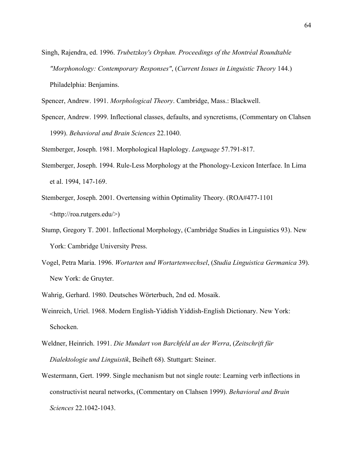Singh, Rajendra, ed. 1996. *Trubetzkoy's Orphan. Proceedings of the Montréal Roundtable "Morphonology: Contemporary Responses"*, (*Current Issues in Linguistic Theory* 144.) Philadelphia: Benjamins.

Spencer, Andrew. 1991. *Morphological Theory*. Cambridge, Mass.: Blackwell.

Spencer, Andrew. 1999. Inflectional classes, defaults, and syncretisms, (Commentary on Clahsen 1999). *Behavioral and Brain Sciences* 22.1040.

Stemberger, Joseph. 1981. Morphological Haplology. *Language* 57.791-817.

- Stemberger, Joseph. 1994. Rule-Less Morphology at the Phonology-Lexicon Interface. In Lima et al. 1994, 147-169.
- Stemberger, Joseph. 2001. Overtensing within Optimality Theory. (ROA#477-1101 <http://roa.rutgers.edu/>)
- Stump, Gregory T. 2001. Inflectional Morphology, (Cambridge Studies in Linguistics 93). New York: Cambridge University Press.
- Vogel, Petra Maria. 1996. *Wortarten und Wortartenwechsel*, (*Studia Linguistica Germanica* 39). New York: de Gruyter.
- Wahrig, Gerhard. 1980. Deutsches Wörterbuch, 2nd ed. Mosaik.
- Weinreich, Uriel. 1968. Modern English-Yiddish Yiddish-English Dictionary. New York: Schocken.
- Weldner, Heinrich. 1991. *Die Mundart von Barchfeld an der Werra*, (*Zeitschrift für Dialektologie und Linguistik*, Beiheft 68). Stuttgart: Steiner.
- Westermann, Gert. 1999. Single mechanism but not single route: Learning verb inflections in constructivist neural networks, (Commentary on Clahsen 1999). *Behavioral and Brain Sciences* 22.1042-1043.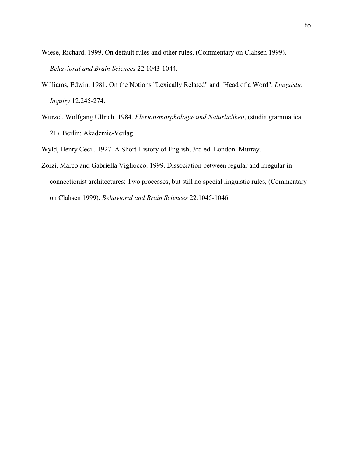- Wiese, Richard. 1999. On default rules and other rules, (Commentary on Clahsen 1999). *Behavioral and Brain Sciences* 22.1043-1044.
- Williams, Edwin. 1981. On the Notions "Lexically Related" and "Head of a Word". *Linguistic Inquiry* 12.245-274.
- Wurzel, Wolfgang Ullrich. 1984. *Flexionsmorphologie und Natürlichkeit*, (studia grammatica 21). Berlin: Akademie-Verlag.

Wyld, Henry Cecil. 1927. A Short History of English, 3rd ed. London: Murray.

Zorzi, Marco and Gabriella Vigliocco. 1999. Dissociation between regular and irregular in connectionist architectures: Two processes, but still no special linguistic rules, (Commentary on Clahsen 1999). *Behavioral and Brain Sciences* 22.1045-1046.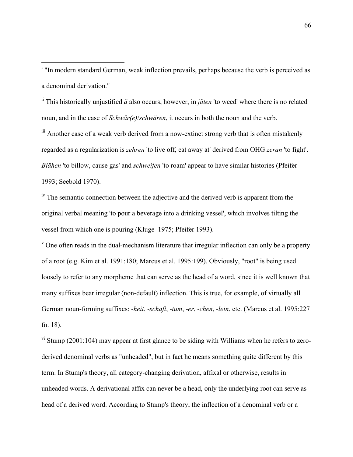i <sup>i</sup> "In modern standard German, weak inflection prevails, perhaps because the verb is perceived as a denominal derivation."

ii This historically unjustified *ä* also occurs, however, in *jäten* 'to weed' where there is no related noun, and in the case of *Schwär(e)*/*schwären*, it occurs in both the noun and the verb.

<sup>iii</sup> Another case of a weak verb derived from a now-extinct strong verb that is often mistakenly regarded as a regularization is *zehren* 'to live off, eat away at' derived from OHG *zeran* 'to fight'. *Blähen* 'to billow, cause gas' and *schweifen* 'to roam' appear to have similar histories (Pfeifer 1993; Seebold 1970).

 $\mu$ <sup>iv</sup>. The semantic connection between the adjective and the derived verb is apparent from the original verbal meaning 'to pour a beverage into a drinking vessel', which involves tilting the vessel from which one is pouring (Kluge 1975; Pfeifer 1993).

 $\gamma$  One often reads in the dual-mechanism literature that irregular inflection can only be a property of a root (e.g. Kim et al. 1991:180; Marcus et al. 1995:199). Obviously, "root" is being used loosely to refer to any morpheme that can serve as the head of a word, since it is well known that many suffixes bear irregular (non-default) inflection. This is true, for example, of virtually all German noun-forming suffixes: *-heit*, *-schaft*, *-tum*, *-er*, *-chen*, *-lein*, etc. (Marcus et al. 1995:227 fn. 18).

 $v<sup>i</sup>$  Stump (2001:104) may appear at first glance to be siding with Williams when he refers to zeroderived denominal verbs as "unheaded", but in fact he means something quite different by this term. In Stump's theory, all category-changing derivation, affixal or otherwise, results in unheaded words. A derivational affix can never be a head, only the underlying root can serve as head of a derived word. According to Stump's theory, the inflection of a denominal verb or a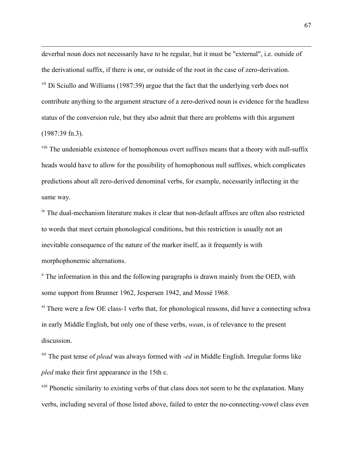deverbal noun does not necessarily have to be regular, but it must be "external", i.e. outside of the derivational suffix, if there is one, or outside of the root in the case of zero-derivation. vii Di Sciullo and Williams (1987:39) argue that the fact that the underlying verb does not contribute anything to the argument structure of a zero-derived noun is evidence for the headless status of the conversion rule, but they also admit that there are problems with this argument (1987:39 fn.3).

 $\overline{a}$ 

viii The undeniable existence of homophonous overt suffixes means that a theory with null-suffix heads would have to allow for the possibility of homophonous null suffixes, which complicates predictions about all zero-derived denominal verbs, for example, necessarily inflecting in the same way.

 $\mu$ <sup>ix</sup> The dual-mechanism literature makes it clear that non-default affixes are often also restricted to words that meet certain phonological conditions, but this restriction is usually not an inevitable consequence of the nature of the marker itself, as it frequently is with morphophonemic alternations.

 $x^*$  The information in this and the following paragraphs is drawn mainly from the OED, with some support from Brunner 1962, Jespersen 1942, and Mossé 1968.

<sup>xi</sup> There were a few OE class-1 verbs that, for phonological reasons, did have a connecting schwa in early Middle English, but only one of these verbs, *wean*, is of relevance to the present discussion.

xii The past tense of *plead* was always formed with *-ed* in Middle English. Irregular forms like *pled* make their first appearance in the 15th c.

<sup>xiii</sup> Phonetic similarity to existing verbs of that class does not seem to be the explanation. Many verbs, including several of those listed above, failed to enter the no-connecting-vowel class even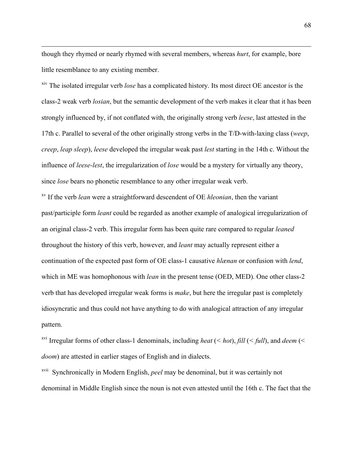though they rhymed or nearly rhymed with several members, whereas *hurt*, for example, bore little resemblance to any existing member.

 $\overline{a}$ 

xiv The isolated irregular verb *lose* has a complicated history. Its most direct OE ancestor is the class-2 weak verb *losian*, but the semantic development of the verb makes it clear that it has been strongly influenced by, if not conflated with, the originally strong verb *leese*, last attested in the 17th c. Parallel to several of the other originally strong verbs in the T/D-with-laxing class (*weep*, *creep*, *leap sleep*), *leese* developed the irregular weak past *lest* starting in the 14th c. Without the influence of *leese-lest*, the irregularization of *lose* would be a mystery for virtually any theory, since *lose* bears no phonetic resemblance to any other irregular weak verb.

xv If the verb *lean* were a straightforward descendent of OE *hleonian*, then the variant past/participle form *leant* could be regarded as another example of analogical irregularization of an original class-2 verb. This irregular form has been quite rare compared to regular *leaned* throughout the history of this verb, however, and *leant* may actually represent either a continuation of the expected past form of OE class-1 causative *hlænan* or confusion with *lend*, which in ME was homophonous with *lean* in the present tense (OED, MED). One other class-2 verb that has developed irregular weak forms is *make*, but here the irregular past is completely idiosyncratic and thus could not have anything to do with analogical attraction of any irregular pattern.

xvi Irregular forms of other class-1 denominals, including *heat* (*< hot*), *fill* (*< full*), and *deem* (< *doom*) are attested in earlier stages of English and in dialects.

xvii Synchronically in Modern English, *peel* may be denominal, but it was certainly not denominal in Middle English since the noun is not even attested until the 16th c. The fact that the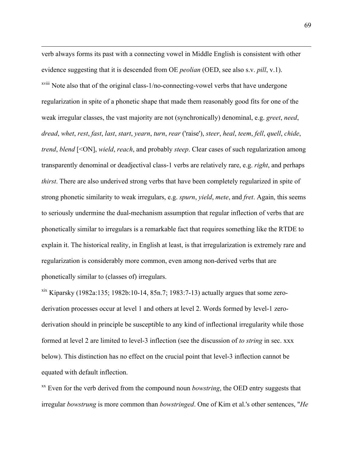verb always forms its past with a connecting vowel in Middle English is consistent with other evidence suggesting that it is descended from OE *peolian* (OED, see also s.v. *pill*, v.1). xviii Note also that of the original class-1/no-connecting-vowel verbs that have undergone regularization in spite of a phonetic shape that made them reasonably good fits for one of the weak irregular classes, the vast majority are not (synchronically) denominal, e.g. *greet*, *need*, *dread*, *whet*, *rest*, *fast*, *last*, *start*, *yearn*, *turn*, *rear* ('raise'), *steer*, *heal*, *teem*, *fell*, *quell*, *chide*, *trend*, *blend* [<ON], *wield*, *reach*, and probably *steep*. Clear cases of such regularization among transparently denominal or deadjectival class-1 verbs are relatively rare, e.g. *right*, and perhaps *thirst*. There are also underived strong verbs that have been completely regularized in spite of strong phonetic similarity to weak irregulars, e.g. *spurn*, *yield*, *mete*, and *fret*. Again, this seems to seriously undermine the dual-mechanism assumption that regular inflection of verbs that are phonetically similar to irregulars is a remarkable fact that requires something like the RTDE to explain it. The historical reality, in English at least, is that irregularization is extremely rare and regularization is considerably more common, even among non-derived verbs that are phonetically similar to (classes of) irregulars.

 $\overline{a}$ 

 $x$ <sup>xix</sup> Kiparsky (1982a:135; 1982b:10-14, 85n.7; 1983:7-13) actually argues that some zeroderivation processes occur at level 1 and others at level 2. Words formed by level-1 zeroderivation should in principle be susceptible to any kind of inflectional irregularity while those formed at level 2 are limited to level-3 inflection (see the discussion of *to string* in sec. xxx below). This distinction has no effect on the crucial point that level-3 inflection cannot be equated with default inflection.

<sup>xx</sup> Even for the verb derived from the compound noun *bowstring*, the OED entry suggests that irregular *bowstrung* is more common than *bowstringed*. One of Kim et al.'s other sentences, "*He*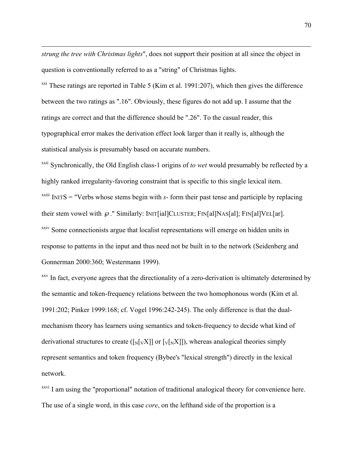*strung the tree with Christmas lights*", does not support their position at all since the object in question is conventionally referred to as a "string" of Christmas lights.

 $\overline{a}$ 

 $\frac{xxi}{x}$  These ratings are reported in Table 5 (Kim et al. 1991:207), which then gives the difference between the two ratings as ".16". Obviously, these figures do not add up. I assume that the ratings are correct and that the difference should be ".26". To the casual reader, this typographical error makes the derivation effect look larger than it really is, although the statistical analysis is presumably based on accurate numbers.

xxii Synchronically, the Old English class-1 origins of *to wet* would presumably be reflected by a highly ranked irregularity-favoring constraint that is specific to this single lexical item.  $x$ <sup>xxiii</sup> INITS = "Verbs whose stems begin with  $s$ - form their past tense and participle by replacing their stem vowel with  $\varnothing$ ." Similarly: INIT[ial]CLUSTER; FIN[al]NAS[al]; FIN[al]VEL[ar]. <sup>xxiv</sup> Some connectionists argue that localist representations will emerge on hidden units in response to patterns in the input and thus need not be built in to the network (Seidenberg and Gonnerman 2000:360; Westermann 1999).

<sup>xxv</sup> In fact, everyone agrees that the directionality of a zero-derivation is ultimately determined by the semantic and token-frequency relations between the two homophonous words (Kim et al. 1991:202; Pinker 1999:168; cf. Vogel 1996:242-245). The only difference is that the dualmechanism theory has learners using semantics and token-frequency to decide what kind of derivational structures to create ( $\lceil N_V|X \rceil$ ) or  $\lceil N_V|X \rceil$ ), whereas analogical theories simply represent semantics and token frequency (Bybee's "lexical strength") directly in the lexical network.

<sup>xxvi</sup> I am using the "proportional" notation of traditional analogical theory for convenience here. The use of a single word, in this case *core*, on the lefthand side of the proportion is a